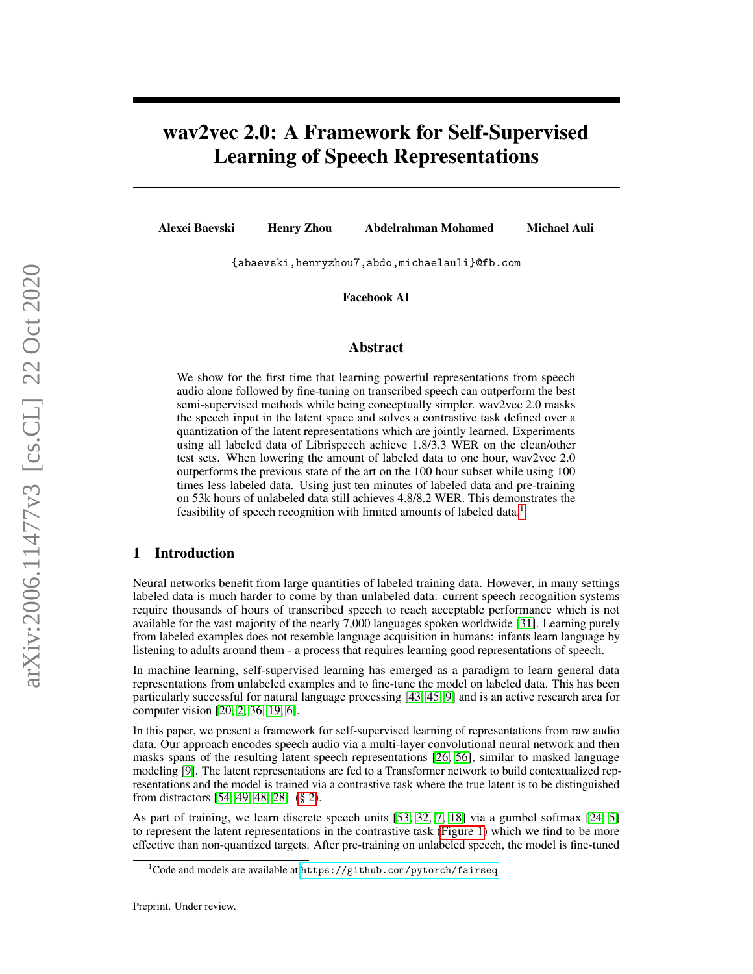# wav2vec 2.0: A Framework for Self-Supervised Learning of Speech Representations

Alexei Baevski Henry Zhou Abdelrahman Mohamed Michael Auli

{abaevski,henryzhou7,abdo,michaelauli}@fb.com

Facebook AI

## Abstract

We show for the first time that learning powerful representations from speech audio alone followed by fine-tuning on transcribed speech can outperform the best semi-supervised methods while being conceptually simpler. wav2vec 2.0 masks the speech input in the latent space and solves a contrastive task defined over a quantization of the latent representations which are jointly learned. Experiments using all labeled data of Librispeech achieve 1.8/3.3 WER on the clean/other test sets. When lowering the amount of labeled data to one hour, wav2vec 2.0 outperforms the previous state of the art on the 100 hour subset while using 100 times less labeled data. Using just ten minutes of labeled data and pre-training on 53k hours of unlabeled data still achieves 4.8/8.2 WER. This demonstrates the feasibility of speech recognition with limited amounts of labeled data.<sup>[1](#page-0-0)</sup>

# 1 Introduction

Neural networks benefit from large quantities of labeled training data. However, in many settings labeled data is much harder to come by than unlabeled data: current speech recognition systems require thousands of hours of transcribed speech to reach acceptable performance which is not available for the vast majority of the nearly 7,000 languages spoken worldwide [\[31\]](#page-9-0). Learning purely from labeled examples does not resemble language acquisition in humans: infants learn language by listening to adults around them - a process that requires learning good representations of speech.

In machine learning, self-supervised learning has emerged as a paradigm to learn general data representations from unlabeled examples and to fine-tune the model on labeled data. This has been particularly successful for natural language processing [\[43,](#page-10-0) [45,](#page-10-1) [9\]](#page-8-0) and is an active research area for computer vision [\[20,](#page-9-1) [2,](#page-8-1) [36,](#page-9-2) [19,](#page-9-3) [6\]](#page-8-2).

In this paper, we present a framework for self-supervised learning of representations from raw audio data. Our approach encodes speech audio via a multi-layer convolutional neural network and then masks spans of the resulting latent speech representations [\[26,](#page-9-4) [56\]](#page-10-2), similar to masked language modeling [\[9\]](#page-8-0). The latent representations are fed to a Transformer network to build contextualized representations and the model is trained via a contrastive task where the true latent is to be distinguished from distractors [\[54,](#page-10-3) [49,](#page-10-4) [48,](#page-10-5) [28\]](#page-9-5) [\(§ 2\)](#page-1-0).

As part of training, we learn discrete speech units [\[53,](#page-10-6) [32,](#page-9-6) [7,](#page-8-3) [18\]](#page-9-7) via a gumbel softmax [\[24,](#page-9-8) [5\]](#page-8-4) to represent the latent representations in the contrastive task [\(Figure 1\)](#page-1-1) which we find to be more effective than non-quantized targets. After pre-training on unlabeled speech, the model is fine-tuned

<span id="page-0-0"></span> $1$ Code and models are available at  $\hbox{\texttt{https://github.com/python/fairseq}}$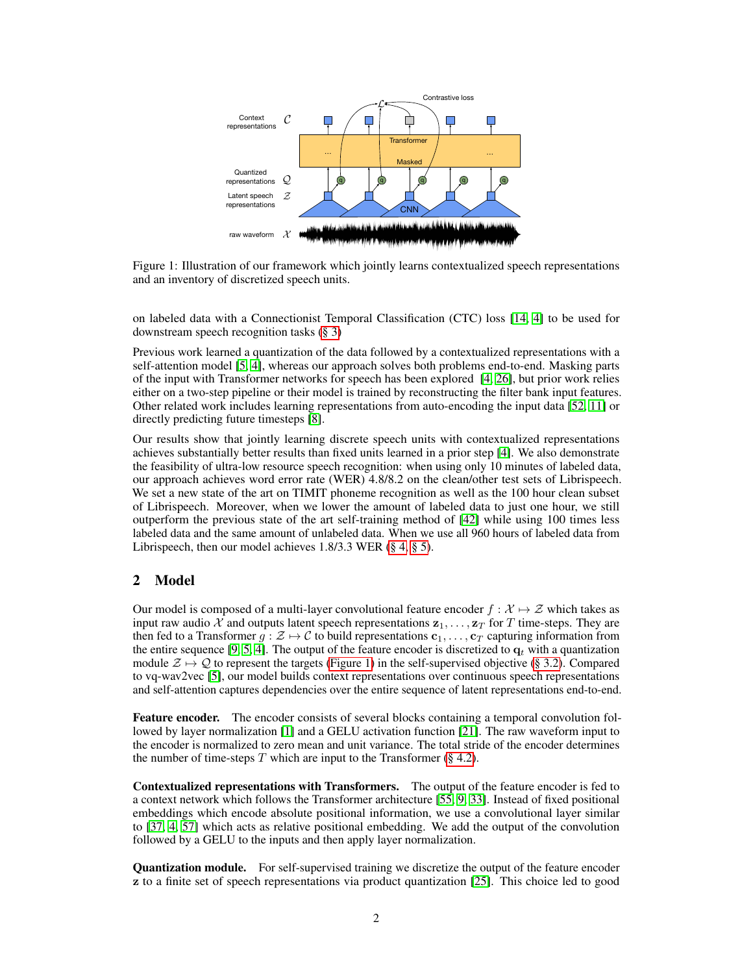<span id="page-1-1"></span>

Figure 1: Illustration of our framework which jointly learns contextualized speech representations and an inventory of discretized speech units.

on labeled data with a Connectionist Temporal Classification (CTC) loss [\[14,](#page-8-5) [4\]](#page-8-6) to be used for downstream speech recognition tasks [\(§ 3\)](#page-2-0)

Previous work learned a quantization of the data followed by a contextualized representations with a self-attention model [\[5,](#page-8-4) [4\]](#page-8-6), whereas our approach solves both problems end-to-end. Masking parts of the input with Transformer networks for speech has been explored [\[4,](#page-8-6) [26\]](#page-9-4), but prior work relies either on a two-step pipeline or their model is trained by reconstructing the filter bank input features. Other related work includes learning representations from auto-encoding the input data [\[52,](#page-10-7) [11\]](#page-8-7) or directly predicting future timesteps [\[8\]](#page-8-8).

Our results show that jointly learning discrete speech units with contextualized representations achieves substantially better results than fixed units learned in a prior step [\[4\]](#page-8-6). We also demonstrate the feasibility of ultra-low resource speech recognition: when using only 10 minutes of labeled data, our approach achieves word error rate (WER) 4.8/8.2 on the clean/other test sets of Librispeech. We set a new state of the art on TIMIT phoneme recognition as well as the 100 hour clean subset of Librispeech. Moreover, when we lower the amount of labeled data to just one hour, we still outperform the previous state of the art self-training method of [\[42\]](#page-10-8) while using 100 times less labeled data and the same amount of unlabeled data. When we use all 960 hours of labeled data from Librispeech, then our model achieves 1.8/3.3 WER [\(§ 4,](#page-3-0) [§ 5\)](#page-4-0).

# <span id="page-1-0"></span>2 Model

Our model is composed of a multi-layer convolutional feature encoder  $f : \mathcal{X} \mapsto \mathcal{Z}$  which takes as input raw audio X and outputs latent speech representations  $z_1, \ldots, z_T$  for T time-steps. They are then fed to a Transformer  $g : \mathcal{Z} \to \mathcal{C}$  to build representations  $c_1, \ldots, c_T$  capturing information from the entire sequence [\[9,](#page-8-0) [5,](#page-8-4) [4\]](#page-8-6). The output of the feature encoder is discretized to  $q_t$  with a quantization module  $\mathcal{Z} \mapsto \mathcal{Q}$  to represent the targets [\(Figure 1\)](#page-1-1) in the self-supervised objective [\(§ 3.2\)](#page-2-1). Compared to vq-wav2vec [\[5\]](#page-8-4), our model builds context representations over continuous speech representations and self-attention captures dependencies over the entire sequence of latent representations end-to-end.

Feature encoder. The encoder consists of several blocks containing a temporal convolution followed by layer normalization [\[1\]](#page-8-9) and a GELU activation function [\[21\]](#page-9-9). The raw waveform input to the encoder is normalized to zero mean and unit variance. The total stride of the encoder determines the number of time-steps  $T$  which are input to the Transformer [\(§ 4.2\)](#page-3-1).

Contextualized representations with Transformers. The output of the feature encoder is fed to a context network which follows the Transformer architecture [\[55,](#page-10-9) [9,](#page-8-0) [33\]](#page-9-10). Instead of fixed positional embeddings which encode absolute positional information, we use a convolutional layer similar to [\[37,](#page-9-11) [4,](#page-8-6) [57\]](#page-10-10) which acts as relative positional embedding. We add the output of the convolution followed by a GELU to the inputs and then apply layer normalization.

Quantization module. For self-supervised training we discretize the output of the feature encoder z to a finite set of speech representations via product quantization [\[25\]](#page-9-12). This choice led to good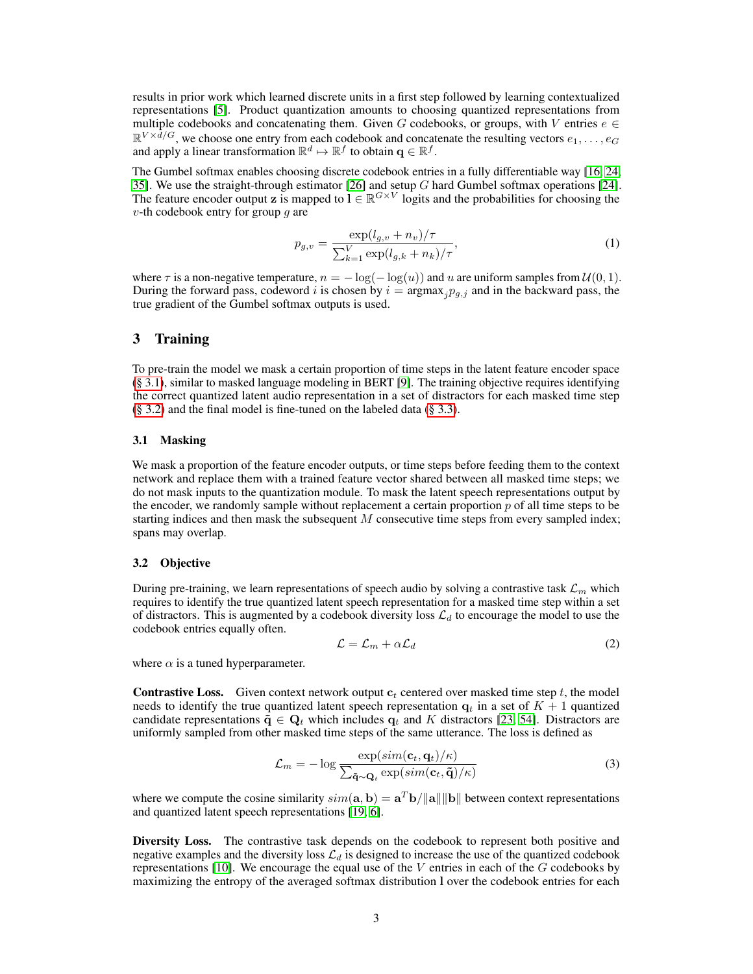results in prior work which learned discrete units in a first step followed by learning contextualized representations [\[5\]](#page-8-4). Product quantization amounts to choosing quantized representations from multiple codebooks and concatenating them. Given G codebooks, or groups, with V entries  $e \in$  $\mathbb{R}^{V \times \bar{d}/G}$ , we choose one entry from each codebook and concatenate the resulting vectors  $e_1, \ldots, e_G$ and apply a linear transformation  $\mathbb{R}^d \mapsto \mathbb{R}^f$  to obtain  $\mathbf{q} \in \mathbb{R}^f$ .

The Gumbel softmax enables choosing discrete codebook entries in a fully differentiable way [\[16,](#page-8-10) [24,](#page-9-8) [35\]](#page-9-13). We use the straight-through estimator [\[26\]](#page-9-4) and setup  $G$  hard Gumbel softmax operations [\[24\]](#page-9-8). The feature encoder output z is mapped to  $l \in \mathbb{R}^{G \times V}$  logits and the probabilities for choosing the  $v$ -th codebook entry for group  $q$  are

$$
p_{g,v} = \frac{\exp(l_{g,v} + n_v)/\tau}{\sum_{k=1}^{V} \exp(l_{g,k} + n_k)/\tau},
$$
\n(1)

where  $\tau$  is a non-negative temperature,  $n = -\log(-\log(u))$  and u are uniform samples from  $\mathcal{U}(0, 1)$ . During the forward pass, codeword i is chosen by  $i = \text{argmax}_j p_{g,j}$  and in the backward pass, the true gradient of the Gumbel softmax outputs is used.

## <span id="page-2-0"></span>3 Training

To pre-train the model we mask a certain proportion of time steps in the latent feature encoder space [\(§ 3.1\)](#page-2-2), similar to masked language modeling in BERT [\[9\]](#page-8-0). The training objective requires identifying the correct quantized latent audio representation in a set of distractors for each masked time step  $(\S 3.2)$  and the final model is fine-tuned on the labeled data  $(\S 3.3)$ .

#### <span id="page-2-2"></span>3.1 Masking

We mask a proportion of the feature encoder outputs, or time steps before feeding them to the context network and replace them with a trained feature vector shared between all masked time steps; we do not mask inputs to the quantization module. To mask the latent speech representations output by the encoder, we randomly sample without replacement a certain proportion  $p$  of all time steps to be starting indices and then mask the subsequent  $M$  consecutive time steps from every sampled index; spans may overlap.

#### <span id="page-2-1"></span>3.2 Objective

During pre-training, we learn representations of speech audio by solving a contrastive task  $\mathcal{L}_m$  which requires to identify the true quantized latent speech representation for a masked time step within a set of distractors. This is augmented by a codebook diversity loss  $\mathcal{L}_d$  to encourage the model to use the codebook entries equally often.

<span id="page-2-4"></span><span id="page-2-3"></span>
$$
\mathcal{L} = \mathcal{L}_m + \alpha \mathcal{L}_d \tag{2}
$$

where  $\alpha$  is a tuned hyperparameter.

**Contrastive Loss.** Given context network output  $c_t$  centered over masked time step t, the model needs to identify the true quantized latent speech representation  $q_t$  in a set of  $K + 1$  quantized candidate representations  $\tilde{\mathbf{q}} \in \mathbf{Q}_t$  which includes  $\mathbf{q}_t$  and K distractors [\[23,](#page-9-14) [54\]](#page-10-3). Distractors are uniformly sampled from other masked time steps of the same utterance. The loss is defined as

$$
\mathcal{L}_m = -\log \frac{\exp(\text{sim}(\mathbf{c}_t, \mathbf{q}_t)/\kappa)}{\sum_{\mathbf{\tilde{q}} \sim \mathbf{Q}_t} \exp(\text{sim}(\mathbf{c}_t, \mathbf{\tilde{q}})/\kappa)}
$$
(3)

where we compute the cosine similarity  $\sin(\mathbf{a}, \mathbf{b}) = \mathbf{a}^T \mathbf{b} / ||\mathbf{a}|| ||\mathbf{b}||$  between context representations and quantized latent speech representations [\[19,](#page-9-3) [6\]](#page-8-2).

Diversity Loss. The contrastive task depends on the codebook to represent both positive and negative examples and the diversity loss  $\mathcal{L}_d$  is designed to increase the use of the quantized codebook representations [\[10\]](#page-8-11). We encourage the equal use of the  $V$  entries in each of the  $G$  codebooks by maximizing the entropy of the averaged softmax distribution l over the codebook entries for each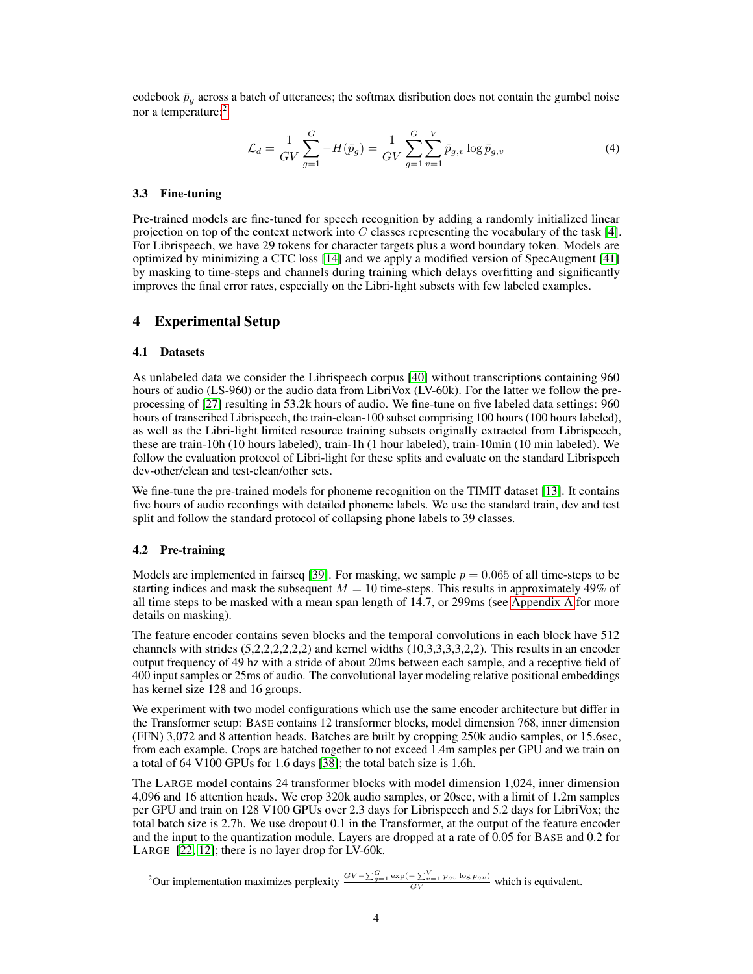codebook  $\bar{p}_q$  across a batch of utterances; the softmax disribution does not contain the gumbel noise nor a temperature:<sup>[2](#page-3-3)</sup>

$$
\mathcal{L}_d = \frac{1}{GV} \sum_{g=1}^{G} -H(\bar{p}_g) = \frac{1}{GV} \sum_{g=1}^{G} \sum_{v=1}^{V} \bar{p}_{g,v} \log \bar{p}_{g,v}
$$
(4)

#### <span id="page-3-2"></span>3.3 Fine-tuning

Pre-trained models are fine-tuned for speech recognition by adding a randomly initialized linear projection on top of the context network into C classes representing the vocabulary of the task [\[4\]](#page-8-6). For Librispeech, we have 29 tokens for character targets plus a word boundary token. Models are optimized by minimizing a CTC loss [\[14\]](#page-8-5) and we apply a modified version of SpecAugment [\[41\]](#page-9-15) by masking to time-steps and channels during training which delays overfitting and significantly improves the final error rates, especially on the Libri-light subsets with few labeled examples.

## <span id="page-3-0"></span>4 Experimental Setup

#### 4.1 Datasets

As unlabeled data we consider the Librispeech corpus [\[40\]](#page-9-16) without transcriptions containing 960 hours of audio (LS-960) or the audio data from LibriVox (LV-60k). For the latter we follow the preprocessing of [\[27\]](#page-9-17) resulting in 53.2k hours of audio. We fine-tune on five labeled data settings: 960 hours of transcribed Librispeech, the train-clean-100 subset comprising 100 hours (100 hours labeled), as well as the Libri-light limited resource training subsets originally extracted from Librispeech, these are train-10h (10 hours labeled), train-1h (1 hour labeled), train-10min (10 min labeled). We follow the evaluation protocol of Libri-light for these splits and evaluate on the standard Librispech dev-other/clean and test-clean/other sets.

We fine-tune the pre-trained models for phoneme recognition on the TIMIT dataset [\[13\]](#page-8-12). It contains five hours of audio recordings with detailed phoneme labels. We use the standard train, dev and test split and follow the standard protocol of collapsing phone labels to 39 classes.

#### <span id="page-3-1"></span>4.2 Pre-training

Models are implemented in fairseq [\[39\]](#page-9-18). For masking, we sample  $p = 0.065$  of all time-steps to be starting indices and mask the subsequent  $M = 10$  time-steps. This results in approximately 49% of all time steps to be masked with a mean span length of 14.7, or 299ms (see [Appendix A](#page-11-0) for more details on masking).

The feature encoder contains seven blocks and the temporal convolutions in each block have 512 channels with strides (5,2,2,2,2,2,2) and kernel widths (10,3,3,3,3,2,2). This results in an encoder output frequency of 49 hz with a stride of about 20ms between each sample, and a receptive field of 400 input samples or 25ms of audio. The convolutional layer modeling relative positional embeddings has kernel size 128 and 16 groups.

We experiment with two model configurations which use the same encoder architecture but differ in the Transformer setup: BASE contains 12 transformer blocks, model dimension 768, inner dimension (FFN) 3,072 and 8 attention heads. Batches are built by cropping 250k audio samples, or 15.6sec, from each example. Crops are batched together to not exceed 1.4m samples per GPU and we train on a total of 64 V100 GPUs for 1.6 days [\[38\]](#page-9-19); the total batch size is 1.6h.

The LARGE model contains 24 transformer blocks with model dimension 1,024, inner dimension 4,096 and 16 attention heads. We crop 320k audio samples, or 20sec, with a limit of 1.2m samples per GPU and train on 128 V100 GPUs over 2.3 days for Librispeech and 5.2 days for LibriVox; the total batch size is 2.7h. We use dropout 0.1 in the Transformer, at the output of the feature encoder and the input to the quantization module. Layers are dropped at a rate of 0.05 for BASE and 0.2 for LARGE [\[22,](#page-9-20) [12\]](#page-8-13); there is no layer drop for LV-60k.

<span id="page-3-3"></span><sup>&</sup>lt;sup>2</sup>Our implementation maximizes perplexity  $\frac{GV-\sum_{g=1}^{G} \exp(-\sum_{v=1}^{V} p_g v \log p_g v)}{GV}$  which is equivalent.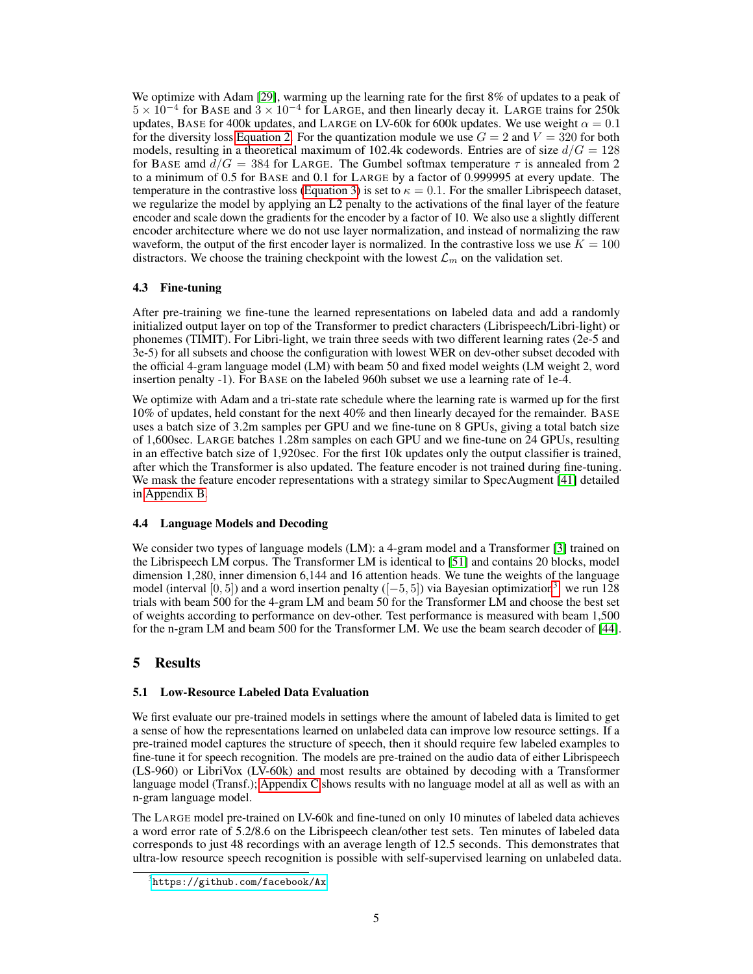We optimize with Adam [\[29\]](#page-9-21), warming up the learning rate for the first 8% of updates to a peak of  $5 \times 10^{-4}$  for BASE and  $3 \times 10^{-4}$  for LARGE, and then linearly decay it. LARGE trains for 250k updates, BASE for 400k updates, and LARGE on LV-60k for 600k updates. We use weight  $\alpha = 0.1$ for the diversity loss [Equation 2.](#page-2-3) For the quantization module we use  $G = 2$  and  $V = 320$  for both models, resulting in a theoretical maximum of 102.4k codewords. Entries are of size  $d/G = 128$ for BASE amd  $d/G = 384$  for LARGE. The Gumbel softmax temperature  $\tau$  is annealed from 2 to a minimum of 0.5 for BASE and 0.1 for LARGE by a factor of 0.999995 at every update. The temperature in the contrastive loss [\(Equation 3\)](#page-2-4) is set to  $\kappa = 0.1$ . For the smaller Librispeech dataset, we regularize the model by applying an L2 penalty to the activations of the final layer of the feature encoder and scale down the gradients for the encoder by a factor of 10. We also use a slightly different encoder architecture where we do not use layer normalization, and instead of normalizing the raw waveform, the output of the first encoder layer is normalized. In the contrastive loss we use  $K = 100$ distractors. We choose the training checkpoint with the lowest  $\mathcal{L}_m$  on the validation set.

## 4.3 Fine-tuning

After pre-training we fine-tune the learned representations on labeled data and add a randomly initialized output layer on top of the Transformer to predict characters (Librispeech/Libri-light) or phonemes (TIMIT). For Libri-light, we train three seeds with two different learning rates (2e-5 and 3e-5) for all subsets and choose the configuration with lowest WER on dev-other subset decoded with the official 4-gram language model (LM) with beam 50 and fixed model weights (LM weight 2, word insertion penalty -1). For BASE on the labeled 960h subset we use a learning rate of 1e-4.

We optimize with Adam and a tri-state rate schedule where the learning rate is warmed up for the first 10% of updates, held constant for the next 40% and then linearly decayed for the remainder. BASE uses a batch size of 3.2m samples per GPU and we fine-tune on 8 GPUs, giving a total batch size of 1,600sec. LARGE batches 1.28m samples on each GPU and we fine-tune on 24 GPUs, resulting in an effective batch size of 1,920sec. For the first 10k updates only the output classifier is trained, after which the Transformer is also updated. The feature encoder is not trained during fine-tuning. We mask the feature encoder representations with a strategy similar to SpecAugment [\[41\]](#page-9-15) detailed in [Appendix B.](#page-12-0)

# 4.4 Language Models and Decoding

We consider two types of language models (LM): a 4-gram model and a Transformer [\[3\]](#page-8-14) trained on the Librispeech LM corpus. The Transformer LM is identical to [\[51\]](#page-10-11) and contains 20 blocks, model dimension 1,280, inner dimension 6,144 and 16 attention heads. We tune the weights of the language model (interval [0, 5]) and a word insertion penalty  $([-5, 5])$  via Bayesian optimization<sup>[3](#page-4-1)</sup>: we run 128 trials with beam 500 for the 4-gram LM and beam 50 for the Transformer LM and choose the best set of weights according to performance on dev-other. Test performance is measured with beam 1,500 for the n-gram LM and beam 500 for the Transformer LM. We use the beam search decoder of [\[44\]](#page-10-12).

# <span id="page-4-0"></span>5 Results

## 5.1 Low-Resource Labeled Data Evaluation

We first evaluate our pre-trained models in settings where the amount of labeled data is limited to get a sense of how the representations learned on unlabeled data can improve low resource settings. If a pre-trained model captures the structure of speech, then it should require few labeled examples to fine-tune it for speech recognition. The models are pre-trained on the audio data of either Librispeech (LS-960) or LibriVox (LV-60k) and most results are obtained by decoding with a Transformer language model (Transf.); [Appendix C](#page-13-0) shows results with no language model at all as well as with an n-gram language model.

The LARGE model pre-trained on LV-60k and fine-tuned on only 10 minutes of labeled data achieves a word error rate of 5.2/8.6 on the Librispeech clean/other test sets. Ten minutes of labeled data corresponds to just 48 recordings with an average length of 12.5 seconds. This demonstrates that ultra-low resource speech recognition is possible with self-supervised learning on unlabeled data.

<span id="page-4-1"></span> $^3$ <https://github.com/facebook/Ax>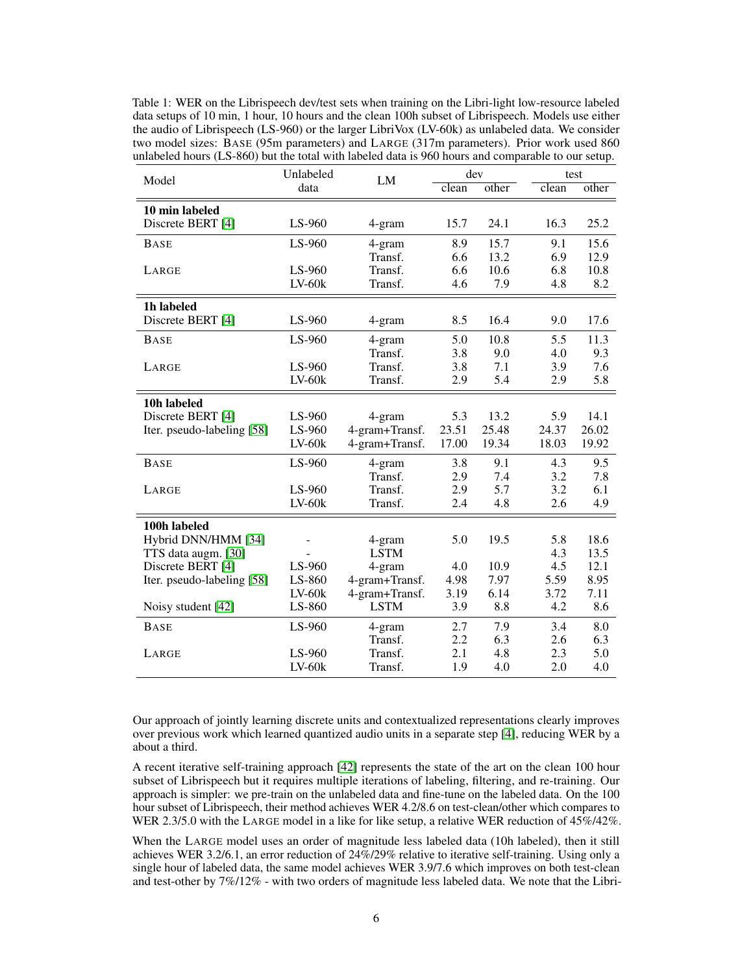<span id="page-5-0"></span>Table 1: WER on the Librispeech dev/test sets when training on the Libri-light low-resource labeled data setups of 10 min, 1 hour, 10 hours and the clean 100h subset of Librispeech. Models use either the audio of Librispeech (LS-960) or the larger LibriVox (LV-60k) as unlabeled data. We consider two model sizes: BASE (95m parameters) and LARGE (317m parameters). Prior work used 860 unlabeled hours (LS-860) but the total with labeled data is 960 hours and comparable to our setup.

|                            | Unlabeled |                | dev<br>LM |       | test  |       |
|----------------------------|-----------|----------------|-----------|-------|-------|-------|
| Model                      | data      |                | clean     | other | clean | other |
| 10 min labeled             |           |                |           |       |       |       |
| Discrete BERT [4]          | LS-960    | 4-gram         | 15.7      | 24.1  | 16.3  | 25.2  |
| <b>BASE</b>                | LS-960    | 4-gram         | 8.9       | 15.7  | 9.1   | 15.6  |
|                            |           | Transf.        | 6.6       | 13.2  | 6.9   | 12.9  |
| LARGE                      | LS-960    | Transf.        | 6.6       | 10.6  | 6.8   | 10.8  |
|                            | $LV-60k$  | Transf.        | 4.6       | 7.9   | 4.8   | 8.2   |
| 1h labeled                 |           |                |           |       |       |       |
| Discrete BERT [4]          | LS-960    | 4-gram         | 8.5       | 16.4  | 9.0   | 17.6  |
| <b>BASE</b>                | LS-960    | 4-gram         | 5.0       | 10.8  | 5.5   | 11.3  |
|                            |           | Transf.        | 3.8       | 9.0   | 4.0   | 9.3   |
| LARGE                      | LS-960    | Transf.        | 3.8       | 7.1   | 3.9   | 7.6   |
|                            | $LV-60k$  | Transf.        | 2.9       | 5.4   | 2.9   | 5.8   |
| 10h labeled                |           |                |           |       |       |       |
| Discrete BERT [4]          | LS-960    | 4-gram         | 5.3       | 13.2  | 5.9   | 14.1  |
| Iter. pseudo-labeling [58] | LS-960    | 4-gram+Transf. | 23.51     | 25.48 | 24.37 | 26.02 |
|                            | $LV-60k$  | 4-gram+Transf. | 17.00     | 19.34 | 18.03 | 19.92 |
| <b>BASE</b>                | LS-960    | 4-gram         | 3.8       | 9.1   | 4.3   | 9.5   |
|                            |           | Transf.        | 2.9       | 7.4   | 3.2   | 7.8   |
| LARGE                      | $LS-960$  | Transf.        | 2.9       | 5.7   | 3.2   | 6.1   |
|                            | $LV-60k$  | Transf.        | 2.4       | 4.8   | 2.6   | 4.9   |
| 100h labeled               |           |                |           |       |       |       |
| Hybrid DNN/HMM [34]        |           | 4-gram         | 5.0       | 19.5  | 5.8   | 18.6  |
| TTS data augm. [30]        |           | <b>LSTM</b>    |           |       | 4.3   | 13.5  |
| Discrete BERT [4]          | LS-960    | 4-gram         | 4.0       | 10.9  | 4.5   | 12.1  |
| Iter. pseudo-labeling [58] | LS-860    | 4-gram+Transf. | 4.98      | 7.97  | 5.59  | 8.95  |
|                            | $LV-60k$  | 4-gram+Transf. | 3.19      | 6.14  | 3.72  | 7.11  |
| Noisy student [42]         | LS-860    | <b>LSTM</b>    | 3.9       | 8.8   | 4.2   | 8.6   |
| <b>BASE</b>                | LS-960    | 4-gram         | 2.7       | 7.9   | 3.4   | 8.0   |
|                            |           | Transf.        | 2.2       | 6.3   | 2.6   | 6.3   |
| LARGE                      | LS-960    | Transf.        | 2.1       | 4.8   | 2.3   | 5.0   |
|                            | $LV-60k$  | Transf.        | 1.9       | 4.0   | 2.0   | 4.0   |

Our approach of jointly learning discrete units and contextualized representations clearly improves over previous work which learned quantized audio units in a separate step [\[4\]](#page-8-6), reducing WER by a about a third.

A recent iterative self-training approach [\[42\]](#page-10-8) represents the state of the art on the clean 100 hour subset of Librispeech but it requires multiple iterations of labeling, filtering, and re-training. Our approach is simpler: we pre-train on the unlabeled data and fine-tune on the labeled data. On the 100 hour subset of Librispeech, their method achieves WER 4.2/8.6 on test-clean/other which compares to WER 2.3/5.0 with the LARGE model in a like for like setup, a relative WER reduction of 45%/42%.

When the LARGE model uses an order of magnitude less labeled data (10h labeled), then it still achieves WER 3.2/6.1, an error reduction of 24%/29% relative to iterative self-training. Using only a single hour of labeled data, the same model achieves WER 3.9/7.6 which improves on both test-clean and test-other by 7%/12% - with two orders of magnitude less labeled data. We note that the Libri-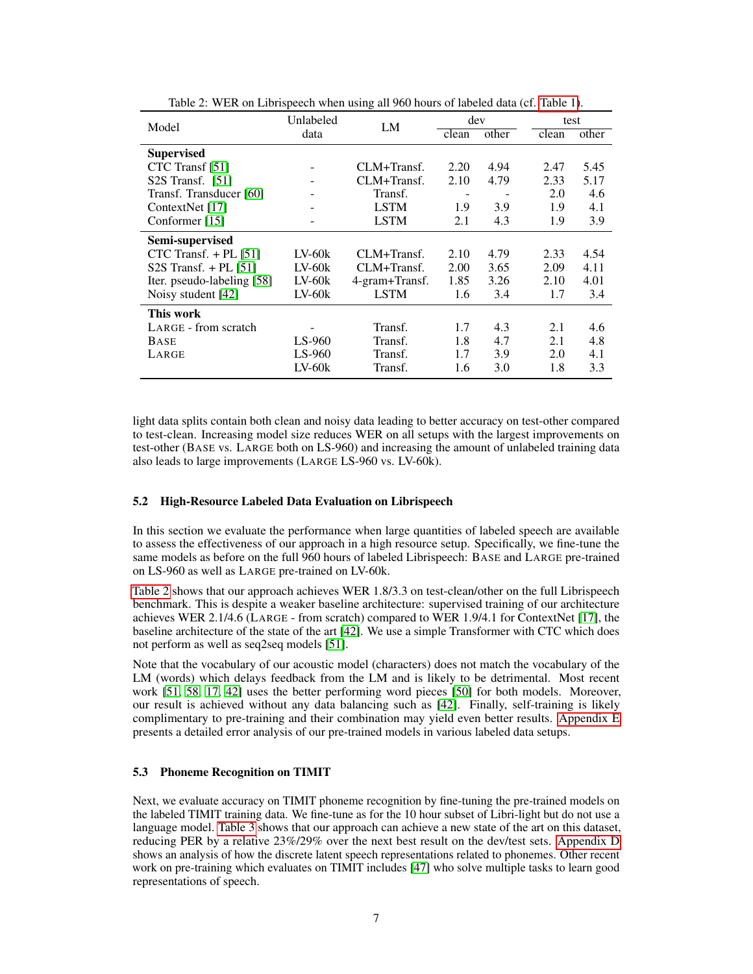<span id="page-6-0"></span>

| Model                      | Unlabeled |                | dev<br>LM |       | test  |       |
|----------------------------|-----------|----------------|-----------|-------|-------|-------|
|                            | data      |                | clean     | other | clean | other |
| <b>Supervised</b>          |           |                |           |       |       |       |
| CTC Transf [51]            |           | CLM+Transf.    | 2.20      | 4.94  | 2.47  | 5.45  |
| $S2S$ Transf. [51]         |           | CLM+Transf.    | 2.10      | 4.79  | 2.33  | 5.17  |
| Transf. Transducer [60]    |           | Transf.        |           |       | 2.0   | 4.6   |
| ContextNet [17]            |           | <b>LSTM</b>    | 1.9       | 3.9   | 1.9   | 4.1   |
| Conformer [15]             |           | <b>LSTM</b>    | 2.1       | 4.3   | 1.9   | 3.9   |
| Semi-supervised            |           |                |           |       |       |       |
| CTC Transf. $+$ PL [51]    | $LV-60k$  | CLM+Transf.    | 2.10      | 4.79  | 2.33  | 4.54  |
| $S2S$ Transf. + PL [51]    | $LV-60k$  | CLM+Transf.    | 2.00      | 3.65  | 2.09  | 4.11  |
| Iter. pseudo-labeling [58] | $LV-60k$  | 4-gram+Transf. | 1.85      | 3.26  | 2.10  | 4.01  |
| Noisy student [42]         | $LV-60k$  | <b>LSTM</b>    | 1.6       | 3.4   | 1.7   | 3.4   |
| This work                  |           |                |           |       |       |       |
| LARGE - from scratch       |           | Transf.        | 1.7       | 4.3   | 2.1   | 4.6   |
| <b>BASE</b>                | $LS-960$  | Transf.        | 1.8       | 4.7   | 2.1   | 4.8   |
| LARGE                      | LS-960    | Transf.        | 1.7       | 3.9   | 2.0   | 4.1   |
|                            | $LV-60k$  | Transf.        | 1.6       | 3.0   | 1.8   | 3.3   |

Table 2: WER on Librispeech when using all 960 hours of labeled data (cf. [Table 1\)](#page-5-0).

light data splits contain both clean and noisy data leading to better accuracy on test-other compared to test-clean. Increasing model size reduces WER on all setups with the largest improvements on test-other (BASE vs. LARGE both on LS-960) and increasing the amount of unlabeled training data also leads to large improvements (LARGE LS-960 vs. LV-60k).

#### 5.2 High-Resource Labeled Data Evaluation on Librispeech

In this section we evaluate the performance when large quantities of labeled speech are available to assess the effectiveness of our approach in a high resource setup. Specifically, we fine-tune the same models as before on the full 960 hours of labeled Librispeech: BASE and LARGE pre-trained on LS-960 as well as LARGE pre-trained on LV-60k.

[Table 2](#page-6-0) shows that our approach achieves WER 1.8/3.3 on test-clean/other on the full Librispeech benchmark. This is despite a weaker baseline architecture: supervised training of our architecture achieves WER 2.1/4.6 (LARGE - from scratch) compared to WER 1.9/4.1 for ContextNet [\[17\]](#page-8-15), the baseline architecture of the state of the art [\[42\]](#page-10-8). We use a simple Transformer with CTC which does not perform as well as seq2seq models [\[51\]](#page-10-11).

Note that the vocabulary of our acoustic model (characters) does not match the vocabulary of the LM (words) which delays feedback from the LM and is likely to be detrimental. Most recent work [\[51,](#page-10-11) [58,](#page-10-13) [17,](#page-8-15) [42\]](#page-10-8) uses the better performing word pieces [\[50\]](#page-10-15) for both models. Moreover, our result is achieved without any data balancing such as [\[42\]](#page-10-8). Finally, self-training is likely complimentary to pre-training and their combination may yield even better results. [Appendix E](#page-15-0) presents a detailed error analysis of our pre-trained models in various labeled data setups.

### 5.3 Phoneme Recognition on TIMIT

Next, we evaluate accuracy on TIMIT phoneme recognition by fine-tuning the pre-trained models on the labeled TIMIT training data. We fine-tune as for the 10 hour subset of Libri-light but do not use a language model. [Table 3](#page-7-0) shows that our approach can achieve a new state of the art on this dataset, reducing PER by a relative 23%/29% over the next best result on the dev/test sets. [Appendix D](#page-14-0) shows an analysis of how the discrete latent speech representations related to phonemes. Other recent work on pre-training which evaluates on TIMIT includes [\[47\]](#page-10-16) who solve multiple tasks to learn good representations of speech.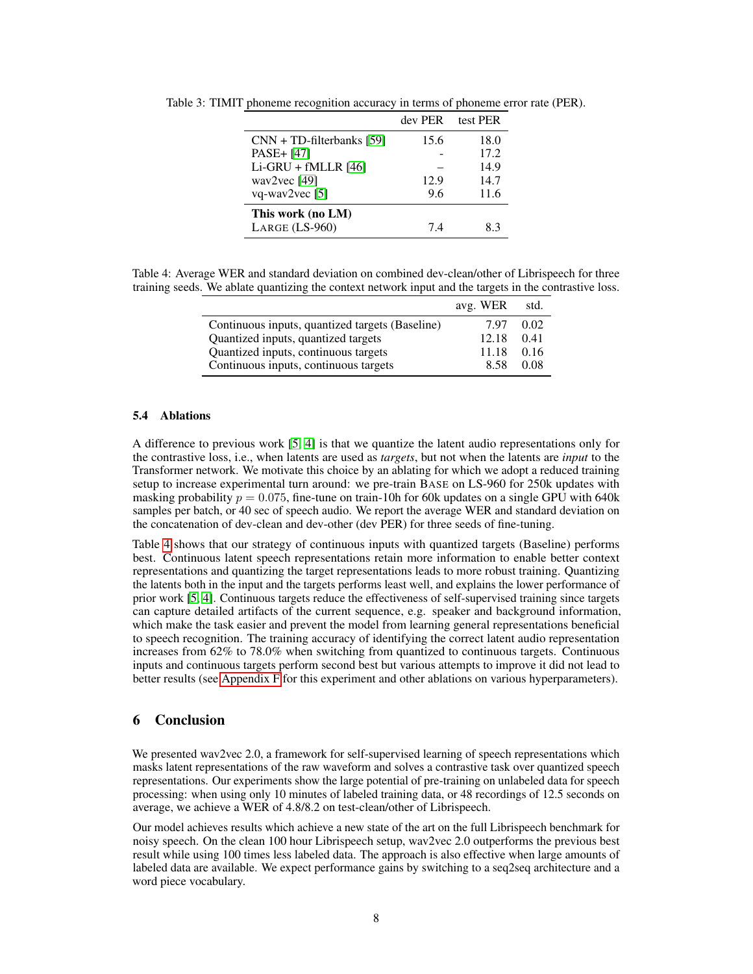|                             | dev PER | test PER |
|-----------------------------|---------|----------|
| $CNN + TD-filterbanks [59]$ | 15.6    | 18.0     |
| PASE+ [47]                  |         | 17.2     |
| $Li-GRU + fMLLR$ [46]       |         | 14.9     |
| way2vec $[49]$              | 12.9    | 14.7     |
| vq-wav $2$ vec [5]          | 9.6     | 11.6     |
| This work (no LM)           |         |          |
| LARGE (LS-960)              | 74      | 83       |

<span id="page-7-0"></span>Table 3: TIMIT phoneme recognition accuracy in terms of phoneme error rate (PER).

<span id="page-7-1"></span>Table 4: Average WER and standard deviation on combined dev-clean/other of Librispeech for three training seeds. We ablate quantizing the context network input and the targets in the contrastive loss.

|                                                 | avg. WER | std. |
|-------------------------------------------------|----------|------|
| Continuous inputs, quantized targets (Baseline) | 7.97     | 0.02 |
| Quantized inputs, quantized targets             | 12.18    | 0.41 |
| Quantized inputs, continuous targets            | 11.18    | 0.16 |
| Continuous inputs, continuous targets           | 8.58     | 0.08 |

#### <span id="page-7-2"></span>5.4 Ablations

A difference to previous work [\[5,](#page-8-4) [4\]](#page-8-6) is that we quantize the latent audio representations only for the contrastive loss, i.e., when latents are used as *targets*, but not when the latents are *input* to the Transformer network. We motivate this choice by an ablating for which we adopt a reduced training setup to increase experimental turn around: we pre-train BASE on LS-960 for 250k updates with masking probability  $p = 0.075$ , fine-tune on train-10h for 60k updates on a single GPU with 640k samples per batch, or 40 sec of speech audio. We report the average WER and standard deviation on the concatenation of dev-clean and dev-other (dev PER) for three seeds of fine-tuning.

Table [4](#page-7-1) shows that our strategy of continuous inputs with quantized targets (Baseline) performs best. Continuous latent speech representations retain more information to enable better context representations and quantizing the target representations leads to more robust training. Quantizing the latents both in the input and the targets performs least well, and explains the lower performance of prior work [\[5,](#page-8-4) [4\]](#page-8-6). Continuous targets reduce the effectiveness of self-supervised training since targets can capture detailed artifacts of the current sequence, e.g. speaker and background information, which make the task easier and prevent the model from learning general representations beneficial to speech recognition. The training accuracy of identifying the correct latent audio representation increases from 62% to 78.0% when switching from quantized to continuous targets. Continuous inputs and continuous targets perform second best but various attempts to improve it did not lead to better results (see [Appendix F](#page-17-0) for this experiment and other ablations on various hyperparameters).

## 6 Conclusion

We presented wav2vec 2.0, a framework for self-supervised learning of speech representations which masks latent representations of the raw waveform and solves a contrastive task over quantized speech representations. Our experiments show the large potential of pre-training on unlabeled data for speech processing: when using only 10 minutes of labeled training data, or 48 recordings of 12.5 seconds on average, we achieve a WER of 4.8/8.2 on test-clean/other of Librispeech.

Our model achieves results which achieve a new state of the art on the full Librispeech benchmark for noisy speech. On the clean 100 hour Librispeech setup, wav2vec 2.0 outperforms the previous best result while using 100 times less labeled data. The approach is also effective when large amounts of labeled data are available. We expect performance gains by switching to a seq2seq architecture and a word piece vocabulary.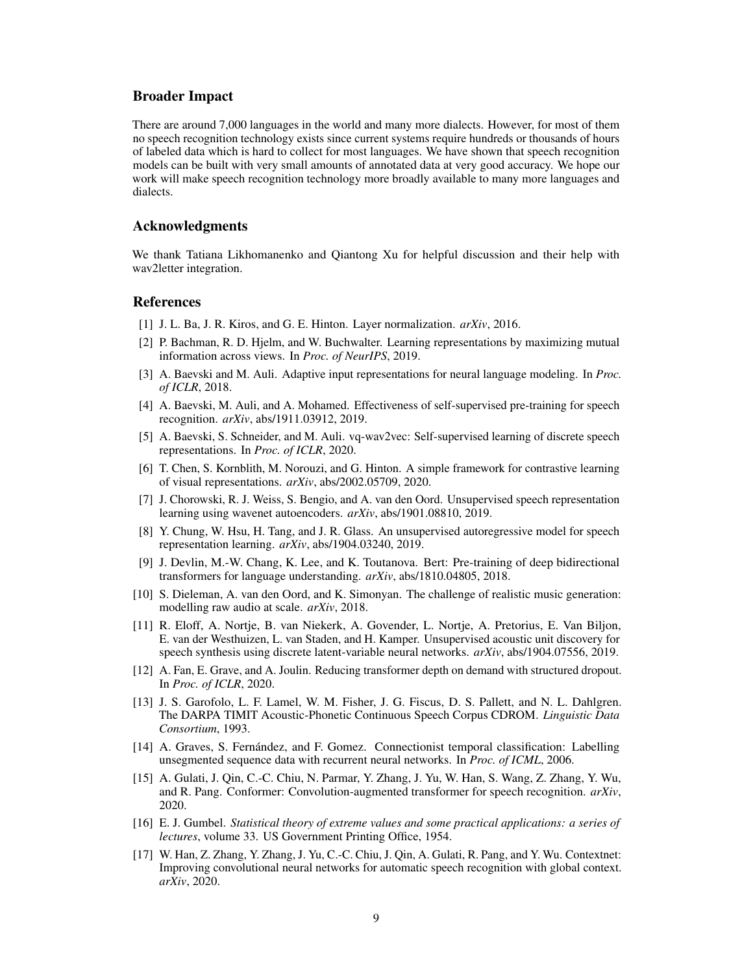## Broader Impact

There are around 7,000 languages in the world and many more dialects. However, for most of them no speech recognition technology exists since current systems require hundreds or thousands of hours of labeled data which is hard to collect for most languages. We have shown that speech recognition models can be built with very small amounts of annotated data at very good accuracy. We hope our work will make speech recognition technology more broadly available to many more languages and dialects.

## Acknowledgments

We thank Tatiana Likhomanenko and Qiantong Xu for helpful discussion and their help with wav2letter integration.

## References

- <span id="page-8-9"></span>[1] J. L. Ba, J. R. Kiros, and G. E. Hinton. Layer normalization. *arXiv*, 2016.
- <span id="page-8-1"></span>[2] P. Bachman, R. D. Hjelm, and W. Buchwalter. Learning representations by maximizing mutual information across views. In *Proc. of NeurIPS*, 2019.
- <span id="page-8-14"></span>[3] A. Baevski and M. Auli. Adaptive input representations for neural language modeling. In *Proc. of ICLR*, 2018.
- <span id="page-8-6"></span>[4] A. Baevski, M. Auli, and A. Mohamed. Effectiveness of self-supervised pre-training for speech recognition. *arXiv*, abs/1911.03912, 2019.
- <span id="page-8-4"></span>[5] A. Baevski, S. Schneider, and M. Auli. vq-wav2vec: Self-supervised learning of discrete speech representations. In *Proc. of ICLR*, 2020.
- <span id="page-8-2"></span>[6] T. Chen, S. Kornblith, M. Norouzi, and G. Hinton. A simple framework for contrastive learning of visual representations. *arXiv*, abs/2002.05709, 2020.
- <span id="page-8-3"></span>[7] J. Chorowski, R. J. Weiss, S. Bengio, and A. van den Oord. Unsupervised speech representation learning using wavenet autoencoders. *arXiv*, abs/1901.08810, 2019.
- <span id="page-8-8"></span>[8] Y. Chung, W. Hsu, H. Tang, and J. R. Glass. An unsupervised autoregressive model for speech representation learning. *arXiv*, abs/1904.03240, 2019.
- <span id="page-8-0"></span>[9] J. Devlin, M.-W. Chang, K. Lee, and K. Toutanova. Bert: Pre-training of deep bidirectional transformers for language understanding. *arXiv*, abs/1810.04805, 2018.
- <span id="page-8-11"></span>[10] S. Dieleman, A. van den Oord, and K. Simonyan. The challenge of realistic music generation: modelling raw audio at scale. *arXiv*, 2018.
- <span id="page-8-7"></span>[11] R. Eloff, A. Nortje, B. van Niekerk, A. Govender, L. Nortje, A. Pretorius, E. Van Biljon, E. van der Westhuizen, L. van Staden, and H. Kamper. Unsupervised acoustic unit discovery for speech synthesis using discrete latent-variable neural networks. *arXiv*, abs/1904.07556, 2019.
- <span id="page-8-13"></span>[12] A. Fan, E. Grave, and A. Joulin. Reducing transformer depth on demand with structured dropout. In *Proc. of ICLR*, 2020.
- <span id="page-8-12"></span>[13] J. S. Garofolo, L. F. Lamel, W. M. Fisher, J. G. Fiscus, D. S. Pallett, and N. L. Dahlgren. The DARPA TIMIT Acoustic-Phonetic Continuous Speech Corpus CDROM. *Linguistic Data Consortium*, 1993.
- <span id="page-8-5"></span>[14] A. Graves, S. Fernández, and F. Gomez. Connectionist temporal classification: Labelling unsegmented sequence data with recurrent neural networks. In *Proc. of ICML*, 2006.
- <span id="page-8-16"></span>[15] A. Gulati, J. Qin, C.-C. Chiu, N. Parmar, Y. Zhang, J. Yu, W. Han, S. Wang, Z. Zhang, Y. Wu, and R. Pang. Conformer: Convolution-augmented transformer for speech recognition. *arXiv*, 2020.
- <span id="page-8-10"></span>[16] E. J. Gumbel. *Statistical theory of extreme values and some practical applications: a series of lectures*, volume 33. US Government Printing Office, 1954.
- <span id="page-8-15"></span>[17] W. Han, Z. Zhang, Y. Zhang, J. Yu, C.-C. Chiu, J. Qin, A. Gulati, R. Pang, and Y. Wu. Contextnet: Improving convolutional neural networks for automatic speech recognition with global context. *arXiv*, 2020.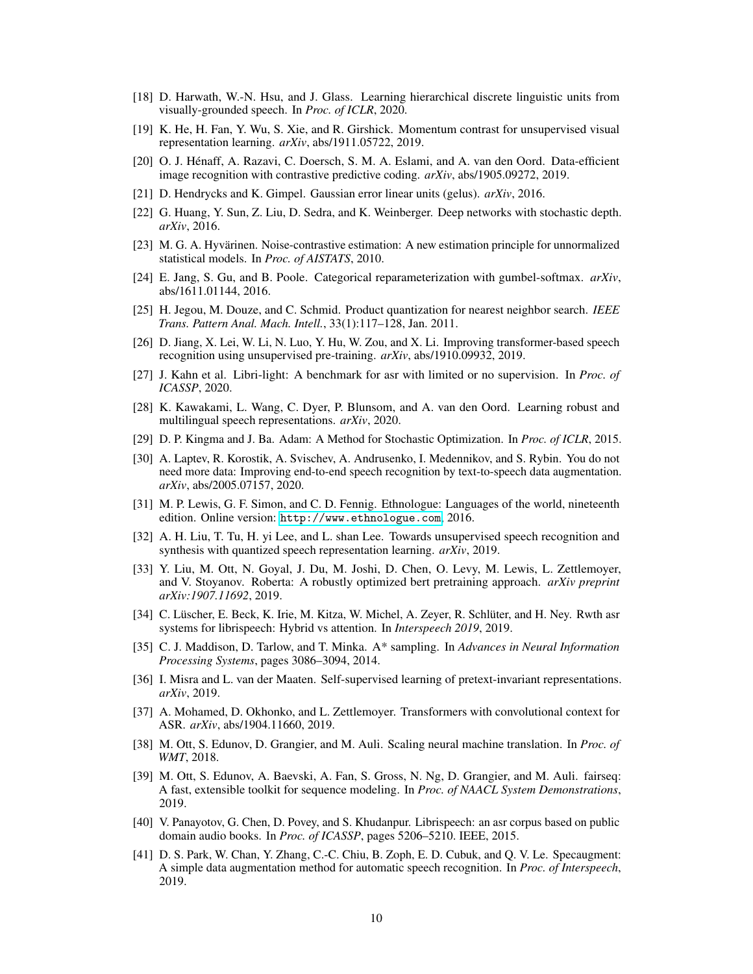- <span id="page-9-7"></span>[18] D. Harwath, W.-N. Hsu, and J. Glass. Learning hierarchical discrete linguistic units from visually-grounded speech. In *Proc. of ICLR*, 2020.
- <span id="page-9-3"></span>[19] K. He, H. Fan, Y. Wu, S. Xie, and R. Girshick. Momentum contrast for unsupervised visual representation learning. *arXiv*, abs/1911.05722, 2019.
- <span id="page-9-1"></span>[20] O. J. Hénaff, A. Razavi, C. Doersch, S. M. A. Eslami, and A. van den Oord. Data-efficient image recognition with contrastive predictive coding. *arXiv*, abs/1905.09272, 2019.
- <span id="page-9-9"></span>[21] D. Hendrycks and K. Gimpel. Gaussian error linear units (gelus). *arXiv*, 2016.
- <span id="page-9-20"></span>[22] G. Huang, Y. Sun, Z. Liu, D. Sedra, and K. Weinberger. Deep networks with stochastic depth. *arXiv*, 2016.
- <span id="page-9-14"></span>[23] M. G. A. Hyvärinen. Noise-contrastive estimation: A new estimation principle for unnormalized statistical models. In *Proc. of AISTATS*, 2010.
- <span id="page-9-8"></span>[24] E. Jang, S. Gu, and B. Poole. Categorical reparameterization with gumbel-softmax. *arXiv*, abs/1611.01144, 2016.
- <span id="page-9-12"></span>[25] H. Jegou, M. Douze, and C. Schmid. Product quantization for nearest neighbor search. *IEEE Trans. Pattern Anal. Mach. Intell.*, 33(1):117–128, Jan. 2011.
- <span id="page-9-4"></span>[26] D. Jiang, X. Lei, W. Li, N. Luo, Y. Hu, W. Zou, and X. Li. Improving transformer-based speech recognition using unsupervised pre-training. *arXiv*, abs/1910.09932, 2019.
- <span id="page-9-17"></span>[27] J. Kahn et al. Libri-light: A benchmark for asr with limited or no supervision. In *Proc. of ICASSP*, 2020.
- <span id="page-9-5"></span>[28] K. Kawakami, L. Wang, C. Dyer, P. Blunsom, and A. van den Oord. Learning robust and multilingual speech representations. *arXiv*, 2020.
- <span id="page-9-21"></span>[29] D. P. Kingma and J. Ba. Adam: A Method for Stochastic Optimization. In *Proc. of ICLR*, 2015.
- <span id="page-9-23"></span>[30] A. Laptev, R. Korostik, A. Svischev, A. Andrusenko, I. Medennikov, and S. Rybin. You do not need more data: Improving end-to-end speech recognition by text-to-speech data augmentation. *arXiv*, abs/2005.07157, 2020.
- <span id="page-9-0"></span>[31] M. P. Lewis, G. F. Simon, and C. D. Fennig. Ethnologue: Languages of the world, nineteenth edition. Online version: <http://www.ethnologue.com>, 2016.
- <span id="page-9-6"></span>[32] A. H. Liu, T. Tu, H. yi Lee, and L. shan Lee. Towards unsupervised speech recognition and synthesis with quantized speech representation learning. *arXiv*, 2019.
- <span id="page-9-10"></span>[33] Y. Liu, M. Ott, N. Goyal, J. Du, M. Joshi, D. Chen, O. Levy, M. Lewis, L. Zettlemoyer, and V. Stoyanov. Roberta: A robustly optimized bert pretraining approach. *arXiv preprint arXiv:1907.11692*, 2019.
- <span id="page-9-22"></span>[34] C. Lüscher, E. Beck, K. Irie, M. Kitza, W. Michel, A. Zeyer, R. Schlüter, and H. Ney. Rwth asr systems for librispeech: Hybrid vs attention. In *Interspeech 2019*, 2019.
- <span id="page-9-13"></span>[35] C. J. Maddison, D. Tarlow, and T. Minka. A\* sampling. In *Advances in Neural Information Processing Systems*, pages 3086–3094, 2014.
- <span id="page-9-2"></span>[36] I. Misra and L. van der Maaten. Self-supervised learning of pretext-invariant representations. *arXiv*, 2019.
- <span id="page-9-11"></span>[37] A. Mohamed, D. Okhonko, and L. Zettlemoyer. Transformers with convolutional context for ASR. *arXiv*, abs/1904.11660, 2019.
- <span id="page-9-19"></span>[38] M. Ott, S. Edunov, D. Grangier, and M. Auli. Scaling neural machine translation. In *Proc. of WMT*, 2018.
- <span id="page-9-18"></span>[39] M. Ott, S. Edunov, A. Baevski, A. Fan, S. Gross, N. Ng, D. Grangier, and M. Auli. fairseq: A fast, extensible toolkit for sequence modeling. In *Proc. of NAACL System Demonstrations*, 2019.
- <span id="page-9-16"></span>[40] V. Panayotov, G. Chen, D. Povey, and S. Khudanpur. Librispeech: an asr corpus based on public domain audio books. In *Proc. of ICASSP*, pages 5206–5210. IEEE, 2015.
- <span id="page-9-15"></span>[41] D. S. Park, W. Chan, Y. Zhang, C.-C. Chiu, B. Zoph, E. D. Cubuk, and Q. V. Le. Specaugment: A simple data augmentation method for automatic speech recognition. In *Proc. of Interspeech*, 2019.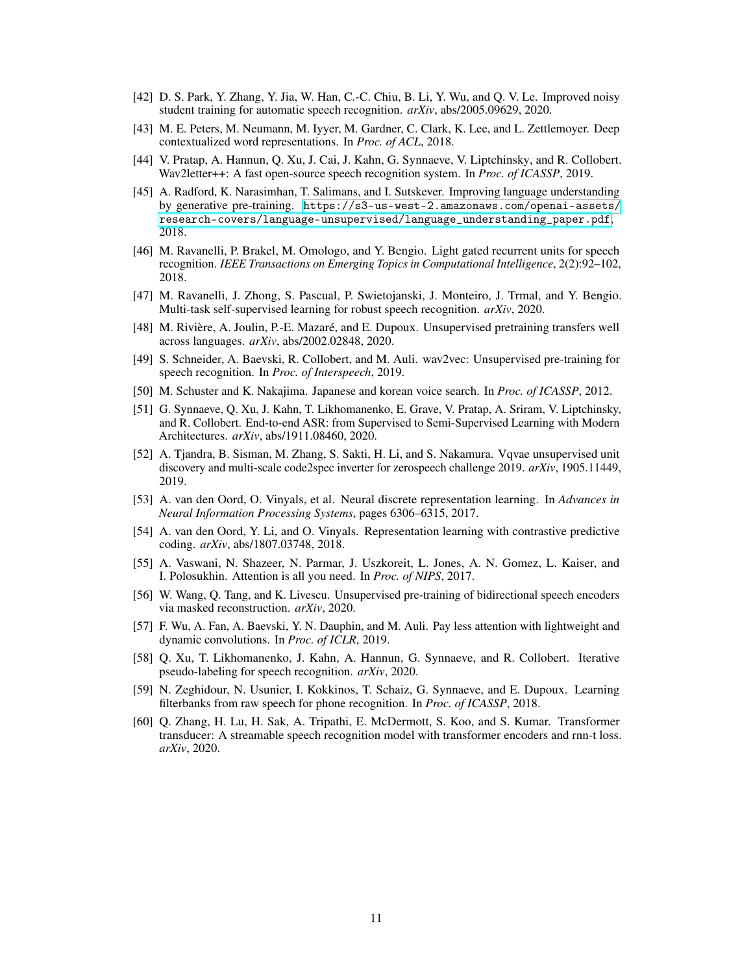- <span id="page-10-8"></span>[42] D. S. Park, Y. Zhang, Y. Jia, W. Han, C.-C. Chiu, B. Li, Y. Wu, and Q. V. Le. Improved noisy student training for automatic speech recognition. *arXiv*, abs/2005.09629, 2020.
- <span id="page-10-0"></span>[43] M. E. Peters, M. Neumann, M. Iyyer, M. Gardner, C. Clark, K. Lee, and L. Zettlemoyer. Deep contextualized word representations. In *Proc. of ACL*, 2018.
- <span id="page-10-12"></span>[44] V. Pratap, A. Hannun, Q. Xu, J. Cai, J. Kahn, G. Synnaeve, V. Liptchinsky, and R. Collobert. Wav2letter++: A fast open-source speech recognition system. In *Proc. of ICASSP*, 2019.
- <span id="page-10-1"></span>[45] A. Radford, K. Narasimhan, T. Salimans, and I. Sutskever. Improving language understanding by generative pre-training. [https://s3-us-west-2.amazonaws.com/openai-assets/](https://s3-us-west-2.amazonaws.com/openai-assets/research-covers/language-unsupervised/language_understanding_paper.pdf) [research-covers/language-unsupervised/language\\_understanding\\_paper.pdf](https://s3-us-west-2.amazonaws.com/openai-assets/research-covers/language-unsupervised/language_understanding_paper.pdf), 2018.
- <span id="page-10-18"></span>[46] M. Ravanelli, P. Brakel, M. Omologo, and Y. Bengio. Light gated recurrent units for speech recognition. *IEEE Transactions on Emerging Topics in Computational Intelligence*, 2(2):92–102, 2018.
- <span id="page-10-16"></span>[47] M. Ravanelli, J. Zhong, S. Pascual, P. Swietojanski, J. Monteiro, J. Trmal, and Y. Bengio. Multi-task self-supervised learning for robust speech recognition. *arXiv*, 2020.
- <span id="page-10-5"></span>[48] M. Rivière, A. Joulin, P.-E. Mazaré, and E. Dupoux. Unsupervised pretraining transfers well across languages. *arXiv*, abs/2002.02848, 2020.
- <span id="page-10-4"></span>[49] S. Schneider, A. Baevski, R. Collobert, and M. Auli. wav2vec: Unsupervised pre-training for speech recognition. In *Proc. of Interspeech*, 2019.
- <span id="page-10-15"></span>[50] M. Schuster and K. Nakajima. Japanese and korean voice search. In *Proc. of ICASSP*, 2012.
- <span id="page-10-11"></span>[51] G. Synnaeve, Q. Xu, J. Kahn, T. Likhomanenko, E. Grave, V. Pratap, A. Sriram, V. Liptchinsky, and R. Collobert. End-to-end ASR: from Supervised to Semi-Supervised Learning with Modern Architectures. *arXiv*, abs/1911.08460, 2020.
- <span id="page-10-7"></span>[52] A. Tjandra, B. Sisman, M. Zhang, S. Sakti, H. Li, and S. Nakamura. Vqvae unsupervised unit discovery and multi-scale code2spec inverter for zerospeech challenge 2019. *arXiv*, 1905.11449, 2019.
- <span id="page-10-6"></span>[53] A. van den Oord, O. Vinyals, et al. Neural discrete representation learning. In *Advances in Neural Information Processing Systems*, pages 6306–6315, 2017.
- <span id="page-10-3"></span>[54] A. van den Oord, Y. Li, and O. Vinyals. Representation learning with contrastive predictive coding. *arXiv*, abs/1807.03748, 2018.
- <span id="page-10-9"></span>[55] A. Vaswani, N. Shazeer, N. Parmar, J. Uszkoreit, L. Jones, A. N. Gomez, L. Kaiser, and I. Polosukhin. Attention is all you need. In *Proc. of NIPS*, 2017.
- <span id="page-10-2"></span>[56] W. Wang, Q. Tang, and K. Livescu. Unsupervised pre-training of bidirectional speech encoders via masked reconstruction. *arXiv*, 2020.
- <span id="page-10-10"></span>[57] F. Wu, A. Fan, A. Baevski, Y. N. Dauphin, and M. Auli. Pay less attention with lightweight and dynamic convolutions. In *Proc. of ICLR*, 2019.
- <span id="page-10-13"></span>[58] Q. Xu, T. Likhomanenko, J. Kahn, A. Hannun, G. Synnaeve, and R. Collobert. Iterative pseudo-labeling for speech recognition. *arXiv*, 2020.
- <span id="page-10-17"></span>[59] N. Zeghidour, N. Usunier, I. Kokkinos, T. Schaiz, G. Synnaeve, and E. Dupoux. Learning filterbanks from raw speech for phone recognition. In *Proc. of ICASSP*, 2018.
- <span id="page-10-14"></span>[60] Q. Zhang, H. Lu, H. Sak, A. Tripathi, E. McDermott, S. Koo, and S. Kumar. Transformer transducer: A streamable speech recognition model with transformer encoders and rnn-t loss. *arXiv*, 2020.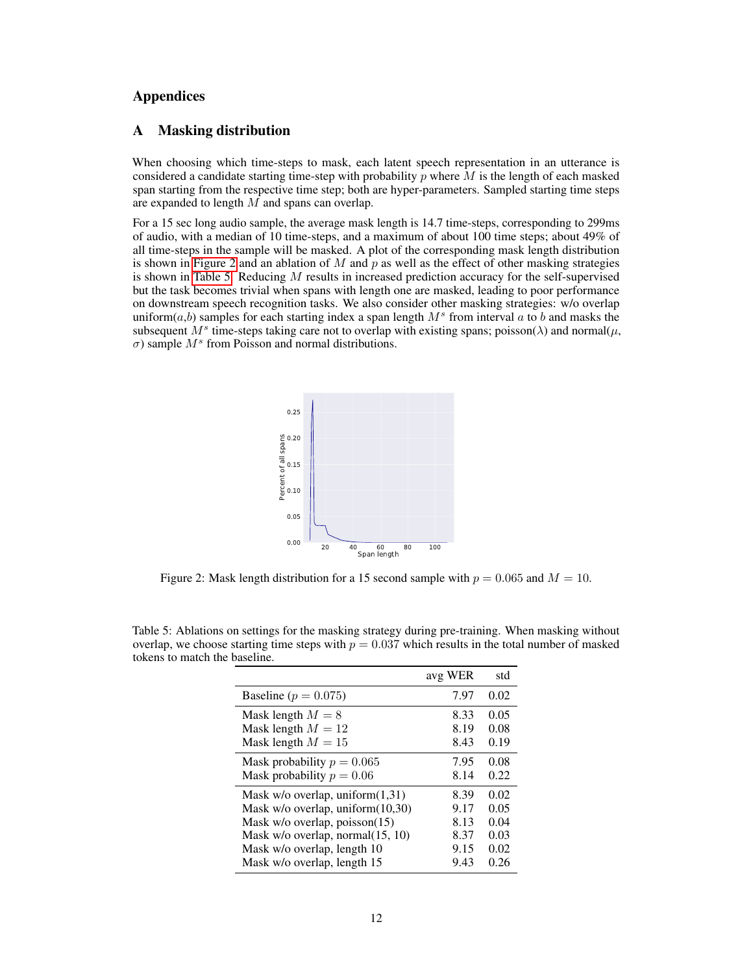# Appendices

# <span id="page-11-0"></span>A Masking distribution

When choosing which time-steps to mask, each latent speech representation in an utterance is considered a candidate starting time-step with probability  $\hat{p}$  where  $\hat{M}$  is the length of each masked span starting from the respective time step; both are hyper-parameters. Sampled starting time steps are expanded to length M and spans can overlap.

For a 15 sec long audio sample, the average mask length is 14.7 time-steps, corresponding to 299ms of audio, with a median of 10 time-steps, and a maximum of about 100 time steps; about 49% of all time-steps in the sample will be masked. A plot of the corresponding mask length distribution is shown in [Figure 2](#page-11-1) and an ablation of M and  $p$  as well as the effect of other masking strategies is shown in [Table 5.](#page-11-2) Reducing  $M$  results in increased prediction accuracy for the self-supervised but the task becomes trivial when spans with length one are masked, leading to poor performance on downstream speech recognition tasks. We also consider other masking strategies: w/o overlap uniform( $a$ , $b$ ) samples for each starting index a span length  $M^s$  from interval  $a$  to  $b$  and masks the subsequent  $M^s$  time-steps taking care not to overlap with existing spans; poisson( $\lambda$ ) and normal( $\mu$ ,  $\sigma$ ) sample  $M^s$  from Poisson and normal distributions.

<span id="page-11-1"></span>

Figure 2: Mask length distribution for a 15 second sample with  $p = 0.065$  and  $M = 10$ .

|                                        | avg WER | std  |
|----------------------------------------|---------|------|
| Baseline ( $p = 0.075$ )               | 7.97    | 0.02 |
| Mask length $M = 8$                    | 8.33    | 0.05 |
| Mask length $M = 12$                   | 8.19    | 0.08 |
| Mask length $M = 15$                   | 8.43    | 0.19 |
| Mask probability $p = 0.065$           | 7.95    | 0.08 |
| Mask probability $p = 0.06$            | 8.14    | 0.22 |
| Mask $w/o$ overlap, uniform $(1,31)$   | 8.39    | 0.02 |
| Mask w/o overlap, uniform(10,30)       | 9.17    | 0.05 |
| Mask $w/o$ overlap, poisson $(15)$     | 8.13    | 0.04 |
| Mask $w$ /o overlap, normal $(15, 10)$ | 8.37    | 0.03 |
| Mask w/o overlap, length 10            | 9.15    | 0.02 |
| Mask w/o overlap, length 15            | 9.43    | 0.26 |

<span id="page-11-2"></span>Table 5: Ablations on settings for the masking strategy during pre-training. When masking without overlap, we choose starting time steps with  $p = 0.037$  which results in the total number of masked tokens to match the baseline.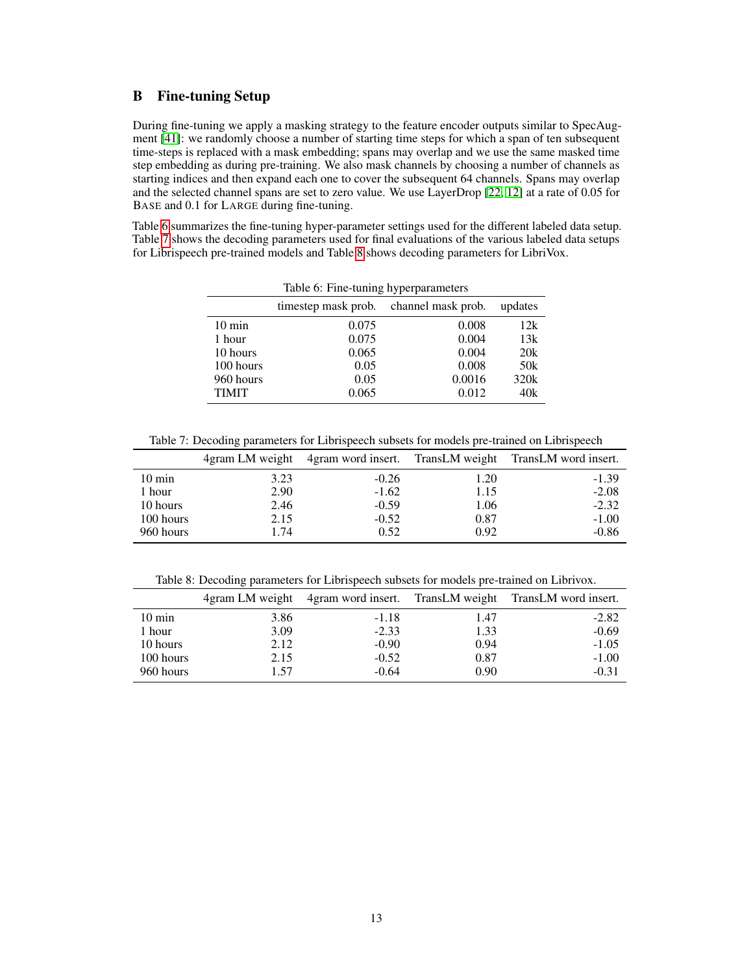# <span id="page-12-0"></span>B Fine-tuning Setup

During fine-tuning we apply a masking strategy to the feature encoder outputs similar to SpecAugment [\[41\]](#page-9-15): we randomly choose a number of starting time steps for which a span of ten subsequent time-steps is replaced with a mask embedding; spans may overlap and we use the same masked time step embedding as during pre-training. We also mask channels by choosing a number of channels as starting indices and then expand each one to cover the subsequent 64 channels. Spans may overlap and the selected channel spans are set to zero value. We use LayerDrop [\[22,](#page-9-20) [12\]](#page-8-13) at a rate of 0.05 for BASE and 0.1 for LARGE during fine-tuning.

<span id="page-12-1"></span>Table [6](#page-12-1) summarizes the fine-tuning hyper-parameter settings used for the different labeled data setup. Table [7](#page-12-2) shows the decoding parameters used for final evaluations of the various labeled data setups for Librispeech pre-trained models and Table [8](#page-12-3) shows decoding parameters for LibriVox.

|                  | Table 6: Fine-tuning hyperparameters   |        |                 |
|------------------|----------------------------------------|--------|-----------------|
|                  | timestep mask prob. channel mask prob. |        | updates         |
| $10 \text{ min}$ | 0.075                                  | 0.008  | 12k             |
| 1 hour           | 0.075                                  | 0.004  | 13k             |
| 10 hours         | 0.065                                  | 0.004  | 20k             |
| 100 hours        | 0.05                                   | 0.008  | 50 <sub>k</sub> |
| 960 hours        | 0.05                                   | 0.0016 | 320k            |
| <b>TIMIT</b>     | 0.065                                  | 0.012  | 40k             |

<span id="page-12-2"></span>Table 7: Decoding parameters for Librispeech subsets for models pre-trained on Librispeech

|                  |      |         |      | 4gram LM weight 4gram word insert. TransLM weight TransLM word insert. |
|------------------|------|---------|------|------------------------------------------------------------------------|
| $10 \text{ min}$ | 3.23 | $-0.26$ | 1.20 | $-1.39$                                                                |
| 1 hour           | 2.90 | $-1.62$ | 1.15 | $-2.08$                                                                |
| 10 hours         | 2.46 | $-0.59$ | 1.06 | $-2.32$                                                                |
| 100 hours        | 2.15 | $-0.52$ | 0.87 | $-1.00$                                                                |
| 960 hours        | 1.74 | 0.52    | 0.92 | $-0.86$                                                                |

<span id="page-12-3"></span>Table 8: Decoding parameters for Librispeech subsets for models pre-trained on Librivox.

|                  |      |         |      | 4gram LM weight 4gram word insert. TransLM weight TransLM word insert. |
|------------------|------|---------|------|------------------------------------------------------------------------|
| $10 \text{ min}$ | 3.86 | $-1.18$ | 1.47 | $-2.82$                                                                |
| 1 hour           | 3.09 | $-2.33$ | 1.33 | $-0.69$                                                                |
| 10 hours         | 2.12 | $-0.90$ | 0.94 | $-1.05$                                                                |
| 100 hours        | 2.15 | $-0.52$ | 0.87 | $-1.00$                                                                |
| 960 hours        | 1.57 | $-0.64$ | 0.90 | $-0.31$                                                                |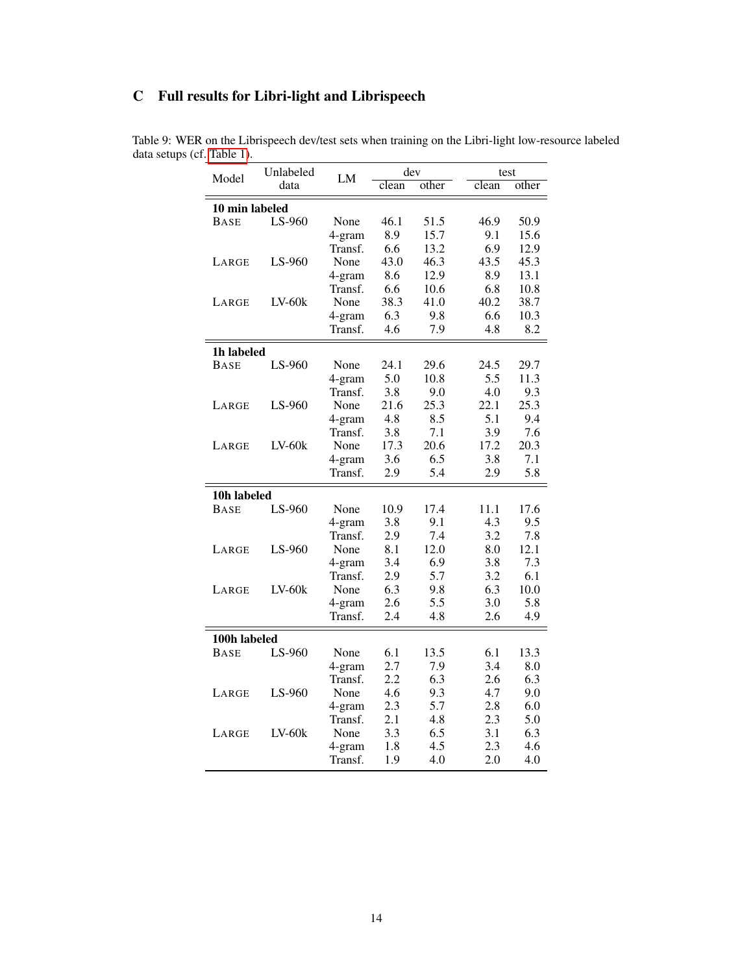# <span id="page-13-0"></span>C Full results for Libri-light and Librispeech

| Model          | Unlabeled | LM      | dev   |       | test  |       |
|----------------|-----------|---------|-------|-------|-------|-------|
|                | data      |         | clean | other | clean | other |
| 10 min labeled |           |         |       |       |       |       |
| BASE           | LS-960    | None    | 46.1  | 51.5  | 46.9  | 50.9  |
|                |           | 4-gram  | 8.9   | 15.7  | 9.1   | 15.6  |
|                |           | Transf. | 6.6   | 13.2  | 6.9   | 12.9  |
| LARGE          | LS-960    | None    | 43.0  | 46.3  | 43.5  | 45.3  |
|                |           | 4-gram  | 8.6   | 12.9  | 8.9   | 13.1  |
|                |           | Transf. | 6.6   | 10.6  | 6.8   | 10.8  |
| LARGE          | $LV-60k$  | None    | 38.3  | 41.0  | 40.2  | 38.7  |
|                |           | 4-gram  | 6.3   | 9.8   | 6.6   | 10.3  |
|                |           | Transf. | 4.6   | 7.9   | 4.8   | 8.2   |
| 1h labeled     |           |         |       |       |       |       |
| <b>BASE</b>    | LS-960    | None    | 24.1  | 29.6  | 24.5  | 29.7  |
|                |           | 4-gram  | 5.0   | 10.8  | 5.5   | 11.3  |
|                |           | Transf. | 3.8   | 9.0   | 4.0   | 9.3   |
| LARGE          | $LS-960$  | None    | 21.6  | 25.3  | 22.1  | 25.3  |
|                |           | 4-gram  | 4.8   | 8.5   | 5.1   | 9.4   |
|                |           | Transf. | 3.8   | 7.1   | 3.9   | 7.6   |
| LARGE          | $LV-60k$  | None    | 17.3  | 20.6  | 17.2  | 20.3  |
|                |           | 4-gram  | 3.6   | 6.5   | 3.8   | 7.1   |
|                |           | Transf. | 2.9   | 5.4   | 2.9   | 5.8   |
| 10h labeled    |           |         |       |       |       |       |
| <b>BASE</b>    | LS-960    | None    | 10.9  | 17.4  | 11.1  | 17.6  |
|                |           | 4-gram  | 3.8   | 9.1   | 4.3   | 9.5   |
|                |           | Transf. | 2.9   | 7.4   | 3.2   | 7.8   |
| LARGE          | LS-960    | None    | 8.1   | 12.0  | 8.0   | 12.1  |
|                |           | 4-gram  | 3.4   | 6.9   | 3.8   | 7.3   |
|                |           | Transf. | 2.9   | 5.7   | 3.2   | 6.1   |
| LARGE          | $LV-60k$  | None    | 6.3   | 9.8   | 6.3   | 10.0  |
|                |           | 4-gram  | 2.6   | 5.5   | 3.0   | 5.8   |
|                |           | Transf. | 2.4   | 4.8   | 2.6   | 4.9   |
| 100h labeled   |           |         |       |       |       |       |
| BASE           | LS-960    | None    | 6.1   | 13.5  | 6.1   | 13.3  |
|                |           | 4-gram  | 2.7   | 7.9   | 3.4   | 8.0   |
|                |           | Transf. | 2.2   | 6.3   | 2.6   | 6.3   |
| LARGE          | LS-960    | None    | 4.6   | 9.3   | 4.7   | 9.0   |
|                |           | 4-gram  | 2.3   | 5.7   | 2.8   | 6.0   |
|                |           | Transf. | 2.1   | 4.8   | 2.3   | 5.0   |
| LARGE          | $LV-60k$  | None    | 3.3   | 6.5   | 3.1   | 6.3   |
|                |           | 4-gram  | 1.8   | 4.5   | 2.3   | 4.6   |
|                |           | Transf. | 1.9   | 4.0   | 2.0   | 4.0   |

<span id="page-13-1"></span>Table 9: WER on the Librispeech dev/test sets when training on the Libri-light low-resource labeled data setups (cf. [Table 1\)](#page-5-0).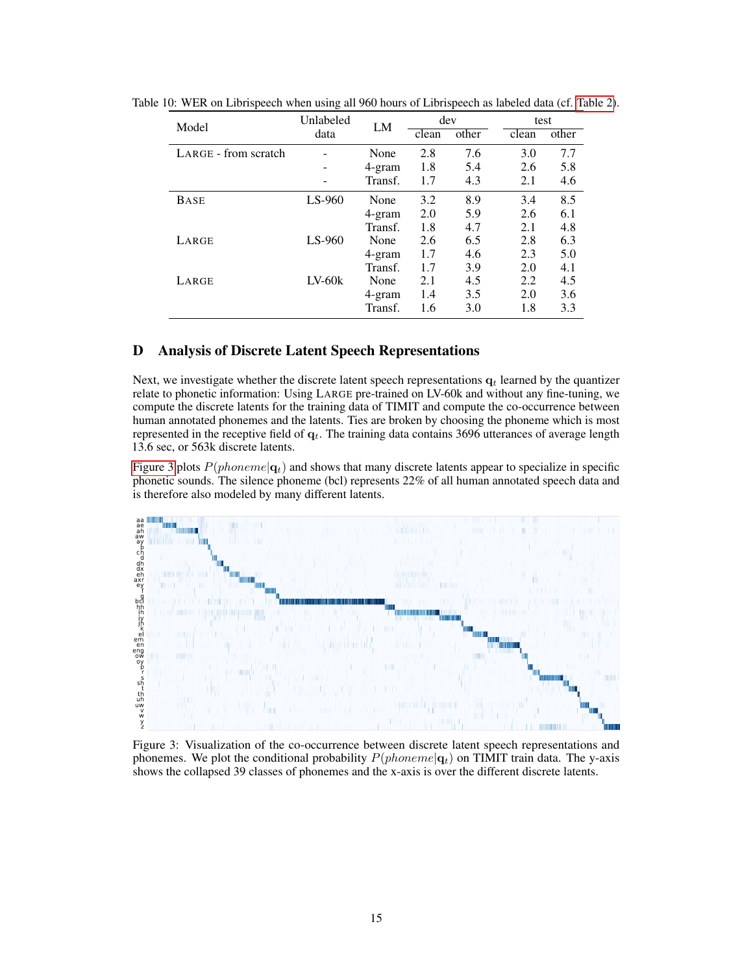| Model                | Unlabeled | LM      |       | dev                       |       | test  |
|----------------------|-----------|---------|-------|---------------------------|-------|-------|
|                      | data      |         | clean | $\overline{\text{other}}$ | clean | other |
| LARGE - from scratch |           | None    | 2.8   | 7.6                       | 3.0   | 7.7   |
|                      |           | 4-gram  | 1.8   | 5.4                       | 2.6   | 5.8   |
|                      |           | Transf. | 1.7   | 4.3                       | 2.1   | 4.6   |
| <b>BASE</b>          | $LS-960$  | None    | 3.2   | 8.9                       | 3.4   | 8.5   |
|                      |           | 4-gram  | 2.0   | 5.9                       | 2.6   | 6.1   |
|                      |           | Transf. | 1.8   | 4.7                       | 2.1   | 4.8   |
| LARGE                | $LS-960$  | None    | 2.6   | 6.5                       | 2.8   | 6.3   |
|                      |           | 4-gram  | 1.7   | 4.6                       | 2.3   | 5.0   |
|                      |           | Transf. | 1.7   | 3.9                       | 2.0   | 4.1   |
| LARGE                | $LV-60k$  | None    | 2.1   | 4.5                       | 2.2   | 4.5   |
|                      |           | 4-gram  | 1.4   | 3.5                       | 2.0   | 3.6   |
|                      |           | Transf. | 1.6   | 3.0                       | 1.8   | 3.3   |

<span id="page-14-2"></span>Table 10: WER on Librispeech when using all 960 hours of Librispeech as labeled data (cf. [Table 2\)](#page-6-0).

# <span id="page-14-0"></span>D Analysis of Discrete Latent Speech Representations

Next, we investigate whether the discrete latent speech representations  $q_t$  learned by the quantizer relate to phonetic information: Using LARGE pre-trained on LV-60k and without any fine-tuning, we compute the discrete latents for the training data of TIMIT and compute the co-occurrence between human annotated phonemes and the latents. Ties are broken by choosing the phoneme which is most represented in the receptive field of  $q_t$ . The training data contains 3696 utterances of average length 13.6 sec, or 563k discrete latents.

[Figure 3](#page-14-1) plots  $P(phoneme|\mathbf{q}_t)$  and shows that many discrete latents appear to specialize in specific phonetic sounds. The silence phoneme (bcl) represents 22% of all human annotated speech data and is therefore also modeled by many different latents.

<span id="page-14-1"></span>

Figure 3: Visualization of the co-occurrence between discrete latent speech representations and phonemes. We plot the conditional probability  $P(phoneme|\mathbf{q}_t)$  on TIMIT train data. The y-axis shows the collapsed 39 classes of phonemes and the x-axis is over the different discrete latents.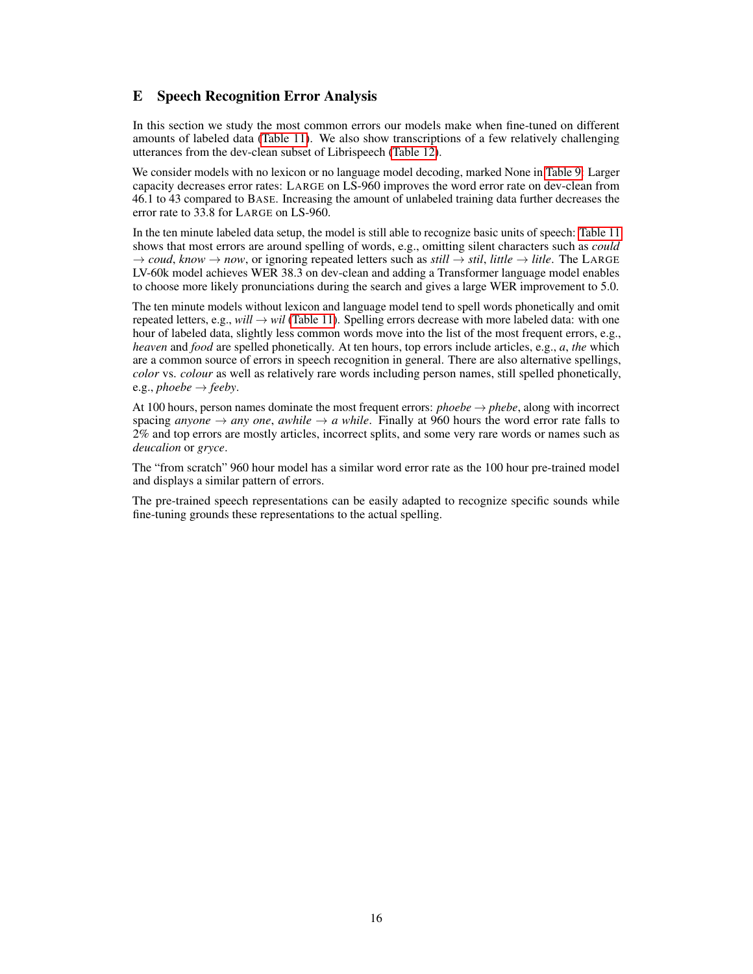# <span id="page-15-0"></span>E Speech Recognition Error Analysis

In this section we study the most common errors our models make when fine-tuned on different amounts of labeled data [\(Table 11\)](#page-16-0). We also show transcriptions of a few relatively challenging utterances from the dev-clean subset of Librispeech [\(Table 12\)](#page-17-1).

We consider models with no lexicon or no language model decoding, marked None in [Table 9:](#page-13-1) Larger capacity decreases error rates: LARGE on LS-960 improves the word error rate on dev-clean from 46.1 to 43 compared to BASE. Increasing the amount of unlabeled training data further decreases the error rate to 33.8 for LARGE on LS-960.

In the ten minute labeled data setup, the model is still able to recognize basic units of speech: [Table 11](#page-16-0) shows that most errors are around spelling of words, e.g., omitting silent characters such as *could*  $\rightarrow$  *coud, know*  $\rightarrow$  *now,* or ignoring repeated letters such as *still*  $\rightarrow$  *stil, little*  $\rightarrow$  *litle.* The LARGE LV-60k model achieves WER 38.3 on dev-clean and adding a Transformer language model enables to choose more likely pronunciations during the search and gives a large WER improvement to 5.0.

The ten minute models without lexicon and language model tend to spell words phonetically and omit repeated letters, e.g., *will*  $\rightarrow$  *wil* [\(Table 11\)](#page-16-0). Spelling errors decrease with more labeled data: with one hour of labeled data, slightly less common words move into the list of the most frequent errors, e.g., *heaven* and *food* are spelled phonetically. At ten hours, top errors include articles, e.g., *a*, *the* which are a common source of errors in speech recognition in general. There are also alternative spellings, *color* vs. *colour* as well as relatively rare words including person names, still spelled phonetically, e.g., *phoebe*  $\rightarrow$  *feeby*.

At 100 hours, person names dominate the most frequent errors: *phoebe*  $\rightarrow$  *phebe*, along with incorrect spacing *anyone*  $\rightarrow$  *any one*, *awhile*  $\rightarrow$  *a while*. Finally at 960 hours the word error rate falls to 2% and top errors are mostly articles, incorrect splits, and some very rare words or names such as *deucalion* or *gryce*.

The "from scratch" 960 hour model has a similar word error rate as the 100 hour pre-trained model and displays a similar pattern of errors.

The pre-trained speech representations can be easily adapted to recognize specific sounds while fine-tuning grounds these representations to the actual spelling.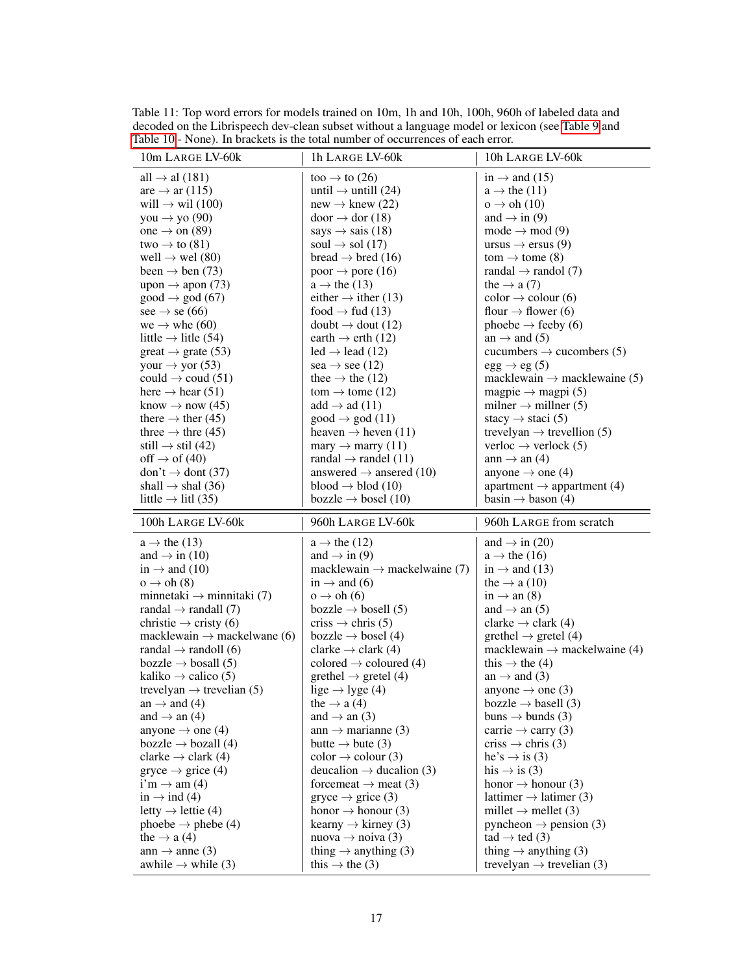| Table 10 - None). In brackets is the total number of occurrences of each error. |                                                                |                                                                           |
|---------------------------------------------------------------------------------|----------------------------------------------------------------|---------------------------------------------------------------------------|
| 10m LARGE LV-60k                                                                | 1h LARGE LV-60k                                                | 10h LARGE LV-60k                                                          |
| all $\rightarrow$ al (181)                                                      | too $\rightarrow$ to (26)                                      | in $\rightarrow$ and (15)                                                 |
| are $\rightarrow$ ar (115)                                                      | until $\rightarrow$ untill (24)                                | $a \rightarrow$ the (11)                                                  |
| will $\rightarrow$ wil (100)                                                    | new $\rightarrow$ knew (22)                                    | $o \rightarrow oh(10)$                                                    |
| you $\rightarrow$ yo (90)                                                       | $door \rightarrow dor(18)$                                     | and $\rightarrow$ in (9)                                                  |
| one $\rightarrow$ on (89)                                                       | says $\rightarrow$ sais (18)                                   | mode $\rightarrow$ mod (9)                                                |
| two $\rightarrow$ to (81)                                                       | soul $\rightarrow$ sol (17)                                    | ursus $\rightarrow$ ersus (9)                                             |
| well $\rightarrow$ wel (80)                                                     | bread $\rightarrow$ bred (16)                                  | tom $\rightarrow$ tome (8)                                                |
| been $\rightarrow$ ben (73)                                                     | poor $\rightarrow$ pore (16)                                   | randal $\rightarrow$ randol (7)                                           |
| upon $\rightarrow$ apon (73)                                                    | $a \rightarrow$ the (13)                                       | the $\rightarrow$ a (7)                                                   |
| $good \rightarrow god (67)$                                                     | either $\rightarrow$ ither (13)                                | $\text{color} \rightarrow \text{colour}$ (6)                              |
| see $\rightarrow$ se (66)                                                       | food $\rightarrow$ fud (13)                                    | flour $\rightarrow$ flower (6)                                            |
| we $\rightarrow$ whe (60)                                                       | doubt $\rightarrow$ dout (12)                                  | phoebe $\rightarrow$ feeby (6)                                            |
| little $\rightarrow$ litle (54)                                                 | earth $\rightarrow$ erth (12)                                  | an $\rightarrow$ and (5)                                                  |
| $\text{great} \rightarrow \text{grate} (53)$                                    | led $\rightarrow$ lead (12)                                    | cucumbers $\rightarrow$ cucombers (5)                                     |
| your $\rightarrow$ yor (53)                                                     | sea $\rightarrow$ see (12)                                     | $egg \rightarrow eg(5)$                                                   |
| could $\rightarrow$ coud (51)                                                   | thee $\rightarrow$ the (12)                                    | macklewain $\rightarrow$ macklewaine (5)                                  |
| here $\rightarrow$ hear (51)                                                    | tom $\rightarrow$ tome (12)                                    | magpie $\rightarrow$ magpi (5)                                            |
| know $\rightarrow$ now (45)                                                     | add $\rightarrow$ ad (11)                                      | milner $\rightarrow$ millner (5)                                          |
| there $\rightarrow$ ther (45)                                                   | $good \rightarrow god (11)$                                    | stacy $\rightarrow$ staci (5)                                             |
| three $\rightarrow$ thre (45)                                                   | heaven $\rightarrow$ heven (11)                                | trevelyan $\rightarrow$ trevellion (5)                                    |
| still $\rightarrow$ stil (42)                                                   | $\text{many} \rightarrow \text{marry (11)}$                    | verloc $\rightarrow$ verlock (5)                                          |
| off $\rightarrow$ of (40)                                                       | randal $\rightarrow$ randel (11)                               | ann $\rightarrow$ an (4)                                                  |
| don't $\rightarrow$ dont (37)                                                   | answered $\rightarrow$ ansered (10)                            | anyone $\rightarrow$ one (4)                                              |
| shall $\rightarrow$ shal (36)                                                   | blood $\rightarrow$ blod (10)                                  | apartment $\rightarrow$ appartment (4)                                    |
| little $\rightarrow$ litl (35)                                                  | bozzle $\rightarrow$ bosel (10)                                | basin $\rightarrow$ bason (4)                                             |
|                                                                                 |                                                                |                                                                           |
|                                                                                 |                                                                |                                                                           |
| 100h LARGE LV-60k                                                               | 960h LARGE LV-60k                                              | 960h LARGE from scratch                                                   |
| $a \rightarrow$ the (13)                                                        | $a \rightarrow$ the (12)                                       | and $\rightarrow$ in (20)                                                 |
| and $\rightarrow$ in (10)                                                       | and $\rightarrow$ in (9)                                       | $a \rightarrow$ the (16)                                                  |
| in $\rightarrow$ and (10)                                                       | macklewain $\rightarrow$ mackelwaine (7)                       | in $\rightarrow$ and (13)                                                 |
| $o \rightarrow oh(8)$                                                           | in $\rightarrow$ and (6)                                       | the $\rightarrow$ a (10)                                                  |
| minnetaki $\rightarrow$ minnitaki (7)                                           | $o \rightarrow oh(6)$                                          | in $\rightarrow$ an (8)                                                   |
| randal $\rightarrow$ randall (7)                                                | bozzle $\rightarrow$ bosell (5)                                | and $\rightarrow$ an (5)                                                  |
| christie $\rightarrow$ cristy (6)                                               | criss $\rightarrow$ chris (5)                                  | clarke $\rightarrow$ clark (4)                                            |
| macklewain $\rightarrow$ mackelwane (6)                                         | bozzle $\rightarrow$ bosel (4)                                 | grethel $\rightarrow$ gretel (4)                                          |
| randal $\rightarrow$ randoll (6)                                                | clarke $\rightarrow$ clark (4)                                 | macklewain $\rightarrow$ mackelwaine (4)                                  |
| bozzle $\rightarrow$ bosall (5)                                                 | colored $\rightarrow$ coloured (4)                             | this $\rightarrow$ the (4)                                                |
| kaliko $\rightarrow$ calico (5)                                                 | grethel $\rightarrow$ gretel (4)                               | an $\rightarrow$ and (3)                                                  |
| trevelyan $\rightarrow$ trevelian (5)                                           | lige $\rightarrow$ lyge (4)                                    | anyone $\rightarrow$ one (3)                                              |
| an $\rightarrow$ and (4)                                                        | the $\rightarrow$ a (4)                                        | bozzle $\rightarrow$ basell (3)                                           |
| and $\rightarrow$ an (4)                                                        | and $\rightarrow$ an (3)                                       | buns $\rightarrow$ bunds (3)                                              |
| anyone $\rightarrow$ one (4)                                                    | ann $\rightarrow$ marianne (3)                                 | carrie $\rightarrow$ carry (3)                                            |
| bozzle $\rightarrow$ bozall (4)                                                 | butte $\rightarrow$ bute (3)                                   | criss $\rightarrow$ chris (3)                                             |
| clarke $\rightarrow$ clark (4)                                                  | $\text{color} \rightarrow \text{colour} (3)$                   | he's $\rightarrow$ is (3)                                                 |
| $gryce \rightarrow grice (4)$                                                   | deucalion $\rightarrow$ ducalion (3)                           | his $\rightarrow$ is (3)                                                  |
| $i'm \rightarrow am(4)$                                                         | forcemeat $\rightarrow$ meat (3)                               | honor $\rightarrow$ honour (3)                                            |
| in $\rightarrow$ ind (4)                                                        | $gryce \rightarrow grice (3)$                                  | lattimer $\rightarrow$ latimer (3)                                        |
| letty $\rightarrow$ lettie (4)                                                  | honor $\rightarrow$ honour (3)                                 | millet $\rightarrow$ mellet (3)                                           |
| phoebe $\rightarrow$ phebe (4)                                                  | kearny $\rightarrow$ kirney (3)                                | pyncheon $\rightarrow$ pension (3)                                        |
| the $\rightarrow$ a (4)                                                         | nuova $\rightarrow$ noiva (3)                                  | $\text{tad} \rightarrow \text{ted} (3)$                                   |
| ann $\rightarrow$ anne (3)<br>awhile $\rightarrow$ while (3)                    | thing $\rightarrow$ anything (3)<br>this $\rightarrow$ the (3) | thing $\rightarrow$ anything (3)<br>trevelyan $\rightarrow$ trevelian (3) |

<span id="page-16-0"></span>Table 11: Top word errors for models trained on 10m, 1h and 10h, 100h, 960h of labeled data and decoded on the Librispeech dev-clean subset without a language model or lexicon (see [Table 9](#page-13-1) and [Table 10](#page-14-2) - None). In brackets is the total number of occurrences of each error.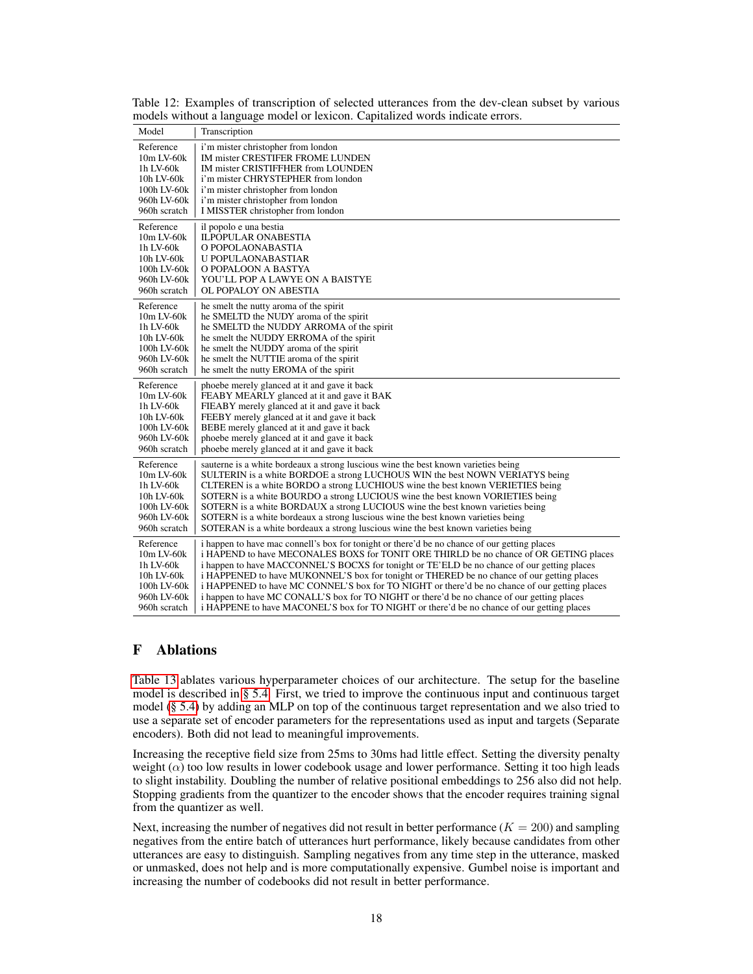| Model           | Transcription                                                                                 |
|-----------------|-----------------------------------------------------------------------------------------------|
| Reference       | i'm mister christopher from london                                                            |
| 10m LV-60k      | IM mister CRESTIFER FROME LUNDEN                                                              |
| 1h LV-60k       | IM mister CRISTIFFHER from LOUNDEN                                                            |
| 10h LV-60k      | i'm mister CHRYSTEPHER from london                                                            |
| 100h LV-60k     | i'm mister christopher from london                                                            |
| 960h LV-60k     | i'm mister christopher from london                                                            |
| 960h scratch    | I MISSTER christopher from london                                                             |
| Reference       | il popolo e una bestia                                                                        |
| $10m$ LV- $60k$ | <b>ILPOPULAR ONABESTIA</b>                                                                    |
| 1h LV-60k       | O POPOLAONABASTIA                                                                             |
| 10h LV-60k      | U POPULAONABASTIAR                                                                            |
| 100h LV-60k     | O POPALOON A BASTYA                                                                           |
| 960h LV-60k     | YOU'LL POP A LAWYE ON A BAISTYE                                                               |
| 960h scratch    | OL POPALOY ON ABESTIA                                                                         |
| Reference       | he smelt the nutty aroma of the spirit                                                        |
| 10m LV-60k      | he SMELTD the NUDY aroma of the spirit                                                        |
| 1h LV-60k       | he SMELTD the NUDDY ARROMA of the spirit                                                      |
| 10h LV-60k      | he smelt the NUDDY ERROMA of the spirit                                                       |
| 100h LV-60k     | he smelt the NUDDY aroma of the spirit                                                        |
| 960h LV-60k     | he smelt the NUTTIE aroma of the spirit                                                       |
| 960h scratch    | he smelt the nutty EROMA of the spirit                                                        |
| Reference       | phoebe merely glanced at it and gave it back                                                  |
| $10m$ LV- $60k$ | FEABY MEARLY glanced at it and gave it BAK                                                    |
| 1h LV-60k       | FIEABY merely glanced at it and gave it back                                                  |
| 10h LV-60k      | FEEBY merely glanced at it and gave it back                                                   |
| 100h LV-60k     | BEBE merely glanced at it and gave it back                                                    |
| 960h LV-60k     | phoebe merely glanced at it and gave it back                                                  |
| 960h scratch    | phoebe merely glanced at it and gave it back                                                  |
| Reference       | sauterne is a white bordeaux a strong luscious wine the best known varieties being            |
| $10m$ LV- $60k$ | SULTERIN is a white BORDOE a strong LUCHOUS WIN the best NOWN VERIATYS being                  |
| 1h LV-60k       | CLTEREN is a white BORDO a strong LUCHIOUS wine the best known VERIETIES being                |
| 10h LV-60k      | SOTERN is a white BOURDO a strong LUCIOUS wine the best known VORIETIES being                 |
| 100h LV-60k     | SOTERN is a white BORDAUX a strong LUCIOUS wine the best known varieties being                |
| 960h LV-60k     | SOTERN is a white bordeaux a strong luscious wine the best known varieties being              |
| 960h scratch    | SOTERAN is a white bordeaux a strong luscious wine the best known varieties being             |
| Reference       | i happen to have mac connell's box for tonight or there'd be no chance of our getting places  |
| 10m LV-60k      | i HAPEND to have MECONALES BOXS for TONIT ORE THIRLD be no chance of OR GETING places         |
| 1h LV-60k       | i happen to have MACCONNEL'S BOCXS for tonight or TE'ELD be no chance of our getting places   |
| 10h LV-60k      | i HAPPENED to have MUKONNEL'S box for tonight or THERED be no chance of our getting places    |
| 100h LV-60k     | i HAPPENED to have MC CONNEL'S box for TO NIGHT or there'd be no chance of our getting places |
| 960h LV-60k     | i happen to have MC CONALL'S box for TO NIGHT or there'd be no chance of our getting places   |
| 960h scratch    | i HAPPENE to have MACONEL'S box for TO NIGHT or there'd be no chance of our getting places    |

<span id="page-17-1"></span>Table 12: Examples of transcription of selected utterances from the dev-clean subset by various models without a language model or lexicon. Capitalized words indicate errors.

# <span id="page-17-0"></span>F Ablations

[Table 13](#page-18-0) ablates various hyperparameter choices of our architecture. The setup for the baseline model is described in [§ 5.4.](#page-7-2) First, we tried to improve the continuous input and continuous target model [\(§ 5.4\)](#page-7-2) by adding an MLP on top of the continuous target representation and we also tried to use a separate set of encoder parameters for the representations used as input and targets (Separate encoders). Both did not lead to meaningful improvements.

Increasing the receptive field size from 25ms to 30ms had little effect. Setting the diversity penalty weight  $(\alpha)$  too low results in lower codebook usage and lower performance. Setting it too high leads to slight instability. Doubling the number of relative positional embeddings to 256 also did not help. Stopping gradients from the quantizer to the encoder shows that the encoder requires training signal from the quantizer as well.

Next, increasing the number of negatives did not result in better performance ( $K = 200$ ) and sampling negatives from the entire batch of utterances hurt performance, likely because candidates from other utterances are easy to distinguish. Sampling negatives from any time step in the utterance, masked or unmasked, does not help and is more computationally expensive. Gumbel noise is important and increasing the number of codebooks did not result in better performance.